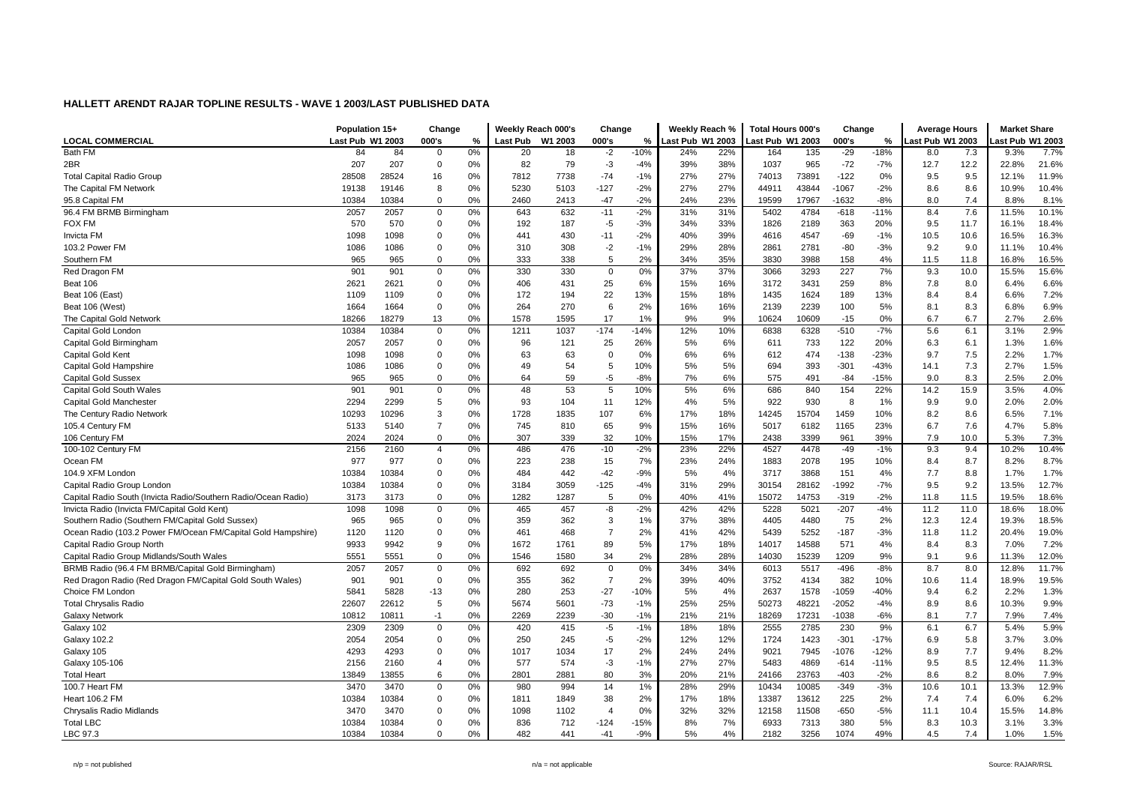| <b>LOCAL COMMERCIAL</b><br>Last Pub W1 2003<br>000's<br><b>Last Pub</b><br>W1 2003<br>000's<br>Last Pub W1 2003<br>ast Pub W1 2003<br>000's<br>ast Pub W1 2003<br>ast Pub W1 2003<br>%<br>%<br>%<br>Bath FM<br>84<br>0%<br>$-29$<br>7.7%<br>84<br>$\overline{0}$<br>20<br>18<br>$-2$<br>-10%<br>24%<br>22%<br>164<br>135<br>$-18%$<br>8.0<br>7.3<br>9.3%<br>$-72$<br>2BR<br>207<br>207<br>$\overline{0}$<br>82<br>79<br>$-3$<br>38%<br>1037<br>965<br>12.2<br>21.6%<br>0%<br>$-4%$<br>39%<br>$-7%$<br>12.7<br>22.8%<br>$-74$<br>27%<br>73891<br>$-122$<br>9.5<br>11.9%<br><b>Total Capital Radio Group</b><br>28508<br>28524<br>16<br>0%<br>7812<br>7738<br>$-1%$<br>27%<br>74013<br>0%<br>9.5<br>12.1%<br>27%<br>10.4%<br>The Capital FM Network<br>19146<br>0%<br>5230<br>5103<br>$-127$<br>$-2%$<br>27%<br>44911<br>43844<br>$-1067$<br>$-2%$<br>8.6<br>8.6<br>10.9%<br>19138<br>8<br>$\mathbf 0$<br>7.4<br>8.1%<br>95.8 Capital FM<br>10384<br>10384<br>0%<br>2460<br>2413<br>$-47$<br>$-2%$<br>24%<br>23%<br>19599<br>17967<br>-1632<br>-8%<br>8.0<br>8.8%<br>7.6<br>96.4 FM BRMB Birmingham<br>2057<br>2057<br>$\mathbf 0$<br>0%<br>643<br>632<br>$-11$<br>$-2%$<br>31%<br>31%<br>5402<br>4784<br>$-618$<br>$-11%$<br>8.4<br>11.5%<br>10.1%<br>570<br>$\mathbf 0$<br>0%<br>192<br>187<br>$-5$<br>$-3%$<br>34%<br>33%<br>1826<br>2189<br>363<br>20%<br>9.5<br>11.7<br>16.1%<br>18.4%<br>FOX FM<br>570<br>$\mathbf 0$<br>0%<br>441<br>430<br>$-11$<br>$-2%$<br>39%<br>$-69$<br>$-1%$<br>10.6<br>16.5%<br>16.3%<br><b>Invicta FM</b><br>1098<br>1098<br>40%<br>4616<br>4547<br>10.5<br>28%<br>10.4%<br>103.2 Power FM<br>$\overline{0}$<br>0%<br>310<br>308<br>$-2$<br>$-1%$<br>29%<br>2861<br>2781<br>-80<br>$-3%$<br>9.2<br>9.0<br>1086<br>1086<br>11.1%<br>$\mathbf 0$<br>333<br>5<br>2%<br>35%<br>158<br>16.5%<br>965<br>0%<br>338<br>34%<br>3830<br>3988<br>4%<br>11.8<br>16.8%<br>Southern FM<br>965<br>11.5 |
|-----------------------------------------------------------------------------------------------------------------------------------------------------------------------------------------------------------------------------------------------------------------------------------------------------------------------------------------------------------------------------------------------------------------------------------------------------------------------------------------------------------------------------------------------------------------------------------------------------------------------------------------------------------------------------------------------------------------------------------------------------------------------------------------------------------------------------------------------------------------------------------------------------------------------------------------------------------------------------------------------------------------------------------------------------------------------------------------------------------------------------------------------------------------------------------------------------------------------------------------------------------------------------------------------------------------------------------------------------------------------------------------------------------------------------------------------------------------------------------------------------------------------------------------------------------------------------------------------------------------------------------------------------------------------------------------------------------------------------------------------------------------------------------------------------------------------------------------------------------------------------------------------------------------------|
|                                                                                                                                                                                                                                                                                                                                                                                                                                                                                                                                                                                                                                                                                                                                                                                                                                                                                                                                                                                                                                                                                                                                                                                                                                                                                                                                                                                                                                                                                                                                                                                                                                                                                                                                                                                                                                                                                                                       |
|                                                                                                                                                                                                                                                                                                                                                                                                                                                                                                                                                                                                                                                                                                                                                                                                                                                                                                                                                                                                                                                                                                                                                                                                                                                                                                                                                                                                                                                                                                                                                                                                                                                                                                                                                                                                                                                                                                                       |
|                                                                                                                                                                                                                                                                                                                                                                                                                                                                                                                                                                                                                                                                                                                                                                                                                                                                                                                                                                                                                                                                                                                                                                                                                                                                                                                                                                                                                                                                                                                                                                                                                                                                                                                                                                                                                                                                                                                       |
|                                                                                                                                                                                                                                                                                                                                                                                                                                                                                                                                                                                                                                                                                                                                                                                                                                                                                                                                                                                                                                                                                                                                                                                                                                                                                                                                                                                                                                                                                                                                                                                                                                                                                                                                                                                                                                                                                                                       |
|                                                                                                                                                                                                                                                                                                                                                                                                                                                                                                                                                                                                                                                                                                                                                                                                                                                                                                                                                                                                                                                                                                                                                                                                                                                                                                                                                                                                                                                                                                                                                                                                                                                                                                                                                                                                                                                                                                                       |
|                                                                                                                                                                                                                                                                                                                                                                                                                                                                                                                                                                                                                                                                                                                                                                                                                                                                                                                                                                                                                                                                                                                                                                                                                                                                                                                                                                                                                                                                                                                                                                                                                                                                                                                                                                                                                                                                                                                       |
|                                                                                                                                                                                                                                                                                                                                                                                                                                                                                                                                                                                                                                                                                                                                                                                                                                                                                                                                                                                                                                                                                                                                                                                                                                                                                                                                                                                                                                                                                                                                                                                                                                                                                                                                                                                                                                                                                                                       |
|                                                                                                                                                                                                                                                                                                                                                                                                                                                                                                                                                                                                                                                                                                                                                                                                                                                                                                                                                                                                                                                                                                                                                                                                                                                                                                                                                                                                                                                                                                                                                                                                                                                                                                                                                                                                                                                                                                                       |
|                                                                                                                                                                                                                                                                                                                                                                                                                                                                                                                                                                                                                                                                                                                                                                                                                                                                                                                                                                                                                                                                                                                                                                                                                                                                                                                                                                                                                                                                                                                                                                                                                                                                                                                                                                                                                                                                                                                       |
|                                                                                                                                                                                                                                                                                                                                                                                                                                                                                                                                                                                                                                                                                                                                                                                                                                                                                                                                                                                                                                                                                                                                                                                                                                                                                                                                                                                                                                                                                                                                                                                                                                                                                                                                                                                                                                                                                                                       |
|                                                                                                                                                                                                                                                                                                                                                                                                                                                                                                                                                                                                                                                                                                                                                                                                                                                                                                                                                                                                                                                                                                                                                                                                                                                                                                                                                                                                                                                                                                                                                                                                                                                                                                                                                                                                                                                                                                                       |
| 330<br>37%<br>3293<br>227<br>15.6%<br>Red Dragon FM<br>901<br>901<br>$\mathbf 0$<br>0%<br>330<br>$\mathbf 0$<br>0%<br>37%<br>3066<br>7%<br>9.3<br>10.0<br>15.5%                                                                                                                                                                                                                                                                                                                                                                                                                                                                                                                                                                                                                                                                                                                                                                                                                                                                                                                                                                                                                                                                                                                                                                                                                                                                                                                                                                                                                                                                                                                                                                                                                                                                                                                                                       |
| 25<br>6.6%<br>Beat 106<br>2621<br>2621<br>$\mathbf 0$<br>0%<br>406<br>431<br>6%<br>15%<br>16%<br>3172<br>3431<br>259<br>8%<br>7.8<br>8.0<br>6.4%                                                                                                                                                                                                                                                                                                                                                                                                                                                                                                                                                                                                                                                                                                                                                                                                                                                                                                                                                                                                                                                                                                                                                                                                                                                                                                                                                                                                                                                                                                                                                                                                                                                                                                                                                                      |
| 22<br>7.2%<br>Beat 106 (East)<br>1109<br>$\mathbf 0$<br>0%<br>172<br>194<br>13%<br>15%<br>18%<br>1435<br>1624<br>189<br>13%<br>8.4<br>6.6%<br>1109<br>8.4                                                                                                                                                                                                                                                                                                                                                                                                                                                                                                                                                                                                                                                                                                                                                                                                                                                                                                                                                                                                                                                                                                                                                                                                                                                                                                                                                                                                                                                                                                                                                                                                                                                                                                                                                             |
| 6.9%<br>Beat 106 (West)<br>$\Omega$<br>0%<br>264<br>270<br>6<br>2%<br>16%<br>16%<br>2139<br>2239<br>100<br>5%<br>8.1<br>8.3<br>6.8%<br>1664<br>1664                                                                                                                                                                                                                                                                                                                                                                                                                                                                                                                                                                                                                                                                                                                                                                                                                                                                                                                                                                                                                                                                                                                                                                                                                                                                                                                                                                                                                                                                                                                                                                                                                                                                                                                                                                   |
| 13<br>0%<br>17<br>1%<br>9%<br>0%<br>6.7<br>2.6%<br>The Capital Gold Network<br>18266<br>18279<br>1578<br>1595<br>9%<br>10624<br>10609<br>$-15$<br>6.7<br>2.7%                                                                                                                                                                                                                                                                                                                                                                                                                                                                                                                                                                                                                                                                                                                                                                                                                                                                                                                                                                                                                                                                                                                                                                                                                                                                                                                                                                                                                                                                                                                                                                                                                                                                                                                                                         |
| 0%<br>$-174$<br>2.9%<br>$\mathbf 0$<br>1211<br>1037<br>$-14%$<br>12%<br>10%<br>$-510$<br>$-7%$<br>5.6<br>6.1<br>3.1%<br>Capital Gold Londor<br>10384<br>10384<br>6838<br>6328                                                                                                                                                                                                                                                                                                                                                                                                                                                                                                                                                                                                                                                                                                                                                                                                                                                                                                                                                                                                                                                                                                                                                                                                                                                                                                                                                                                                                                                                                                                                                                                                                                                                                                                                         |
| 1.6%<br>$\mathbf 0$<br>96<br>25<br>26%<br>6%<br>733<br>122<br>20%<br>6.1<br>Capital Gold Birmingham<br>2057<br>2057<br>0%<br>121<br>5%<br>611<br>6.3<br>1.3%                                                                                                                                                                                                                                                                                                                                                                                                                                                                                                                                                                                                                                                                                                                                                                                                                                                                                                                                                                                                                                                                                                                                                                                                                                                                                                                                                                                                                                                                                                                                                                                                                                                                                                                                                          |
| 1.7%<br>$\overline{0}$<br>63<br>63<br>0%<br>6%<br>6%<br>474<br>$-138$<br>$-23%$<br>9.7<br>7.5<br>2.2%<br>Capital Gold Kent<br>1098<br>1098<br>0%<br>$\Omega$<br>612                                                                                                                                                                                                                                                                                                                                                                                                                                                                                                                                                                                                                                                                                                                                                                                                                                                                                                                                                                                                                                                                                                                                                                                                                                                                                                                                                                                                                                                                                                                                                                                                                                                                                                                                                   |
| 1.5%<br>Capital Gold Hampshire<br>1086<br>1086<br>$\mathbf 0$<br>0%<br>49<br>54<br>5<br>10%<br>5%<br>5%<br>694<br>393<br>$-301$<br>$-43%$<br>14.1<br>7.3<br>2.7%                                                                                                                                                                                                                                                                                                                                                                                                                                                                                                                                                                                                                                                                                                                                                                                                                                                                                                                                                                                                                                                                                                                                                                                                                                                                                                                                                                                                                                                                                                                                                                                                                                                                                                                                                      |
| 965<br>$\mathbf 0$<br>0%<br>64<br>59<br>$-5$<br>$-8%$<br>7%<br>6%<br>$-84$<br>$-15%$<br>9.0<br>8.3<br>2.5%<br>2.0%<br><b>Capital Gold Sussex</b><br>965<br>575<br>491                                                                                                                                                                                                                                                                                                                                                                                                                                                                                                                                                                                                                                                                                                                                                                                                                                                                                                                                                                                                                                                                                                                                                                                                                                                                                                                                                                                                                                                                                                                                                                                                                                                                                                                                                 |
| Capital Gold South Wales<br>$\mathbf 0$<br>0%<br>48<br>53<br>5<br>10%<br>5%<br>6%<br>686<br>154<br>22%<br>14.2<br>15.9<br>3.5%<br>4.0%<br>901<br>901<br>840                                                                                                                                                                                                                                                                                                                                                                                                                                                                                                                                                                                                                                                                                                                                                                                                                                                                                                                                                                                                                                                                                                                                                                                                                                                                                                                                                                                                                                                                                                                                                                                                                                                                                                                                                           |
| 2294<br>2299<br>5<br>0%<br>93<br>12%<br>5%<br>930<br>8<br>9.0<br>2.0%<br>2.0%<br>Capital Gold Manchester<br>104<br>11<br>4%<br>922<br>1%<br>9.9                                                                                                                                                                                                                                                                                                                                                                                                                                                                                                                                                                                                                                                                                                                                                                                                                                                                                                                                                                                                                                                                                                                                                                                                                                                                                                                                                                                                                                                                                                                                                                                                                                                                                                                                                                       |
| 10293<br>10296<br>3<br>0%<br>1728<br>1835<br>107<br>6%<br>17%<br>18%<br>14245<br>15704<br>1459<br>10%<br>8.2<br>8.6<br>6.5%<br>7.1%<br>The Century Radio Network                                                                                                                                                                                                                                                                                                                                                                                                                                                                                                                                                                                                                                                                                                                                                                                                                                                                                                                                                                                                                                                                                                                                                                                                                                                                                                                                                                                                                                                                                                                                                                                                                                                                                                                                                      |
| $\overline{7}$<br>5.8%<br>5140<br>0%<br>745<br>65<br>9%<br>15%<br>16%<br>5017<br>6182<br>1165<br>23%<br>7.6<br>4.7%<br>105.4 Century FM<br>5133<br>810<br>6.7                                                                                                                                                                                                                                                                                                                                                                                                                                                                                                                                                                                                                                                                                                                                                                                                                                                                                                                                                                                                                                                                                                                                                                                                                                                                                                                                                                                                                                                                                                                                                                                                                                                                                                                                                         |
| $\mathbf 0$<br>307<br>32<br>17%<br>7.3%<br>106 Century FM<br>0%<br>339<br>10%<br>15%<br>3399<br>961<br>39%<br>7.9<br>10.0<br>5.3%<br>2024<br>2024<br>2438                                                                                                                                                                                                                                                                                                                                                                                                                                                                                                                                                                                                                                                                                                                                                                                                                                                                                                                                                                                                                                                                                                                                                                                                                                                                                                                                                                                                                                                                                                                                                                                                                                                                                                                                                             |
| 10.4%<br>100-102 Century FM<br>2156<br>$\overline{4}$<br>0%<br>476<br>$-10$<br>$-2%$<br>23%<br>22%<br>4527<br>4478<br>$-49$<br>$-1%$<br>9.3<br>10.2%<br>2160<br>486<br>9.4                                                                                                                                                                                                                                                                                                                                                                                                                                                                                                                                                                                                                                                                                                                                                                                                                                                                                                                                                                                                                                                                                                                                                                                                                                                                                                                                                                                                                                                                                                                                                                                                                                                                                                                                            |
| 8.7%<br>Ocean FM<br>977<br>977<br>$\mathbf 0$<br>0%<br>223<br>238<br>15<br>7%<br>23%<br>24%<br>1883<br>2078<br>195<br>10%<br>8.7<br>8.2%<br>8.4                                                                                                                                                                                                                                                                                                                                                                                                                                                                                                                                                                                                                                                                                                                                                                                                                                                                                                                                                                                                                                                                                                                                                                                                                                                                                                                                                                                                                                                                                                                                                                                                                                                                                                                                                                       |
| 1.7%<br>104.9 XFM London<br>484<br>442<br>4%<br>3717<br>3868<br>7.7<br>8.8<br>10384<br>10384<br>$\mathbf 0$<br>0%<br>$-42$<br>$-9%$<br>5%<br>151<br>4%<br>1.7%                                                                                                                                                                                                                                                                                                                                                                                                                                                                                                                                                                                                                                                                                                                                                                                                                                                                                                                                                                                                                                                                                                                                                                                                                                                                                                                                                                                                                                                                                                                                                                                                                                                                                                                                                        |
| 10384<br>0%<br>29%<br>$-7%$<br>9.5<br>9.2<br>13.5%<br>12.7%<br>Capital Radio Group London<br>10384<br>$\mathbf 0$<br>3184<br>3059<br>$-125$<br>$-4%$<br>31%<br>30154<br>28162<br>-1992                                                                                                                                                                                                                                                                                                                                                                                                                                                                                                                                                                                                                                                                                                                                                                                                                                                                                                                                                                                                                                                                                                                                                                                                                                                                                                                                                                                                                                                                                                                                                                                                                                                                                                                                |
| Capital Radio South (Invicta Radio/Southern Radio/Ocean Radio)<br>$\mathbf 0$<br>0%<br>1282<br>1287<br>0%<br>40%<br>$-2%$<br>11.5<br>18.6%<br>3173<br>3173<br>5<br>41%<br>15072<br>14753<br>$-319$<br>11.8<br>19.5%                                                                                                                                                                                                                                                                                                                                                                                                                                                                                                                                                                                                                                                                                                                                                                                                                                                                                                                                                                                                                                                                                                                                                                                                                                                                                                                                                                                                                                                                                                                                                                                                                                                                                                   |
| 42%<br>Invicta Radio (Invicta FM/Capital Gold Kent)<br>1098<br>1098<br>$\mathbf 0$<br>0%<br>465<br>457<br>-8<br>$-2%$<br>42%<br>5228<br>5021<br>$-207$<br>$-4%$<br>11.2<br>11.0<br>18.6%<br>18.0%                                                                                                                                                                                                                                                                                                                                                                                                                                                                                                                                                                                                                                                                                                                                                                                                                                                                                                                                                                                                                                                                                                                                                                                                                                                                                                                                                                                                                                                                                                                                                                                                                                                                                                                     |
| 18.5%<br>Southern Radio (Southern FM/Capital Gold Sussex)<br>965<br>965<br>$\mathbf 0$<br>0%<br>359<br>362<br>3<br>1%<br>37%<br>38%<br>4405<br>4480<br>75<br>2%<br>12.3<br>12.4<br>19.3%                                                                                                                                                                                                                                                                                                                                                                                                                                                                                                                                                                                                                                                                                                                                                                                                                                                                                                                                                                                                                                                                                                                                                                                                                                                                                                                                                                                                                                                                                                                                                                                                                                                                                                                              |
| $\overline{0}$<br>$\overline{7}$<br>42%<br>Ocean Radio (103.2 Power FM/Ocean FM/Capital Gold Hampshire)<br>0%<br>461<br>2%<br>41%<br>5252<br>$-187$<br>$-3%$<br>11.2<br>20.4%<br>19.0%<br>1120<br>1120<br>468<br>5439<br>11.8                                                                                                                                                                                                                                                                                                                                                                                                                                                                                                                                                                                                                                                                                                                                                                                                                                                                                                                                                                                                                                                                                                                                                                                                                                                                                                                                                                                                                                                                                                                                                                                                                                                                                         |
| 9933<br>9942<br>9<br>0%<br>1672<br>1761<br>89<br>17%<br>18%<br>14017<br>14588<br>571<br>4%<br>8.3<br>7.0%<br>7.2%<br>Capital Radio Group North<br>5%<br>8.4                                                                                                                                                                                                                                                                                                                                                                                                                                                                                                                                                                                                                                                                                                                                                                                                                                                                                                                                                                                                                                                                                                                                                                                                                                                                                                                                                                                                                                                                                                                                                                                                                                                                                                                                                           |
| $\mathbf 0$<br>34<br>9.6<br>12.0%<br>Capital Radio Group Midlands/South Wales<br>5551<br>5551<br>0%<br>1546<br>1580<br>2%<br>28%<br>28%<br>14030<br>15239<br>1209<br>9%<br>9.1<br>11.3%                                                                                                                                                                                                                                                                                                                                                                                                                                                                                                                                                                                                                                                                                                                                                                                                                                                                                                                                                                                                                                                                                                                                                                                                                                                                                                                                                                                                                                                                                                                                                                                                                                                                                                                               |
| 34%<br>11.7%<br>BRMB Radio (96.4 FM BRMB/Capital Gold Birmingham)<br>2057<br>0%<br>692<br>0%<br>34%<br>5517<br>$-496$<br>$-8%$<br>8.7<br>8.0<br>2057<br>$\mathbf 0$<br>692<br>$\mathbf 0$<br>6013<br>12.8%                                                                                                                                                                                                                                                                                                                                                                                                                                                                                                                                                                                                                                                                                                                                                                                                                                                                                                                                                                                                                                                                                                                                                                                                                                                                                                                                                                                                                                                                                                                                                                                                                                                                                                            |
| $\mathbf 0$<br>$\overline{7}$<br>19.5%<br>Red Dragon Radio (Red Dragon FM/Capital Gold South Wales)<br>901<br>901<br>0%<br>355<br>362<br>2%<br>39%<br>40%<br>3752<br>4134<br>382<br>10%<br>10.6<br>11.4<br>18.9%                                                                                                                                                                                                                                                                                                                                                                                                                                                                                                                                                                                                                                                                                                                                                                                                                                                                                                                                                                                                                                                                                                                                                                                                                                                                                                                                                                                                                                                                                                                                                                                                                                                                                                      |
| 5828<br>0%<br>280<br>253<br>$-27$<br>$-10%$<br>4%<br>2637<br>$-1059$<br>$-40%$<br>6.2<br>2.2%<br>1.3%<br>Choice FM London<br>5841<br>$-13$<br>5%<br>1578<br>9.4                                                                                                                                                                                                                                                                                                                                                                                                                                                                                                                                                                                                                                                                                                                                                                                                                                                                                                                                                                                                                                                                                                                                                                                                                                                                                                                                                                                                                                                                                                                                                                                                                                                                                                                                                       |
| 9.9%<br><b>Total Chrysalis Radio</b><br>22607<br>22612<br>5<br>0%<br>5674<br>5601<br>$-73$<br>$-1%$<br>25%<br>25%<br>50273<br>48221<br>$-2052$<br>$-4%$<br>8.9<br>8.6<br>10.3%                                                                                                                                                                                                                                                                                                                                                                                                                                                                                                                                                                                                                                                                                                                                                                                                                                                                                                                                                                                                                                                                                                                                                                                                                                                                                                                                                                                                                                                                                                                                                                                                                                                                                                                                        |
| $-1$<br>0%<br>2269<br>2239<br>$-30$<br>$-1%$<br>21%<br>21%<br>17231<br>$-1038$<br>$-6%$<br>7.7<br>7.9%<br>7.4%<br><b>Galaxy Network</b><br>10812<br>10811<br>18269<br>8.1                                                                                                                                                                                                                                                                                                                                                                                                                                                                                                                                                                                                                                                                                                                                                                                                                                                                                                                                                                                                                                                                                                                                                                                                                                                                                                                                                                                                                                                                                                                                                                                                                                                                                                                                             |
| 5.9%<br>Galaxy 102<br>$\mathbf 0$<br>0%<br>420<br>415<br>$-5$<br>$-1%$<br>18%<br>18%<br>2785<br>230<br>9%<br>6.7<br>2309<br>2309<br>2555<br>6.1<br>5.4%                                                                                                                                                                                                                                                                                                                                                                                                                                                                                                                                                                                                                                                                                                                                                                                                                                                                                                                                                                                                                                                                                                                                                                                                                                                                                                                                                                                                                                                                                                                                                                                                                                                                                                                                                               |
| $\mathbf 0$<br>250<br>$-5$<br>$-2%$<br>12%<br>1423<br>$-301$<br>3.7%<br>3.0%<br><b>Galaxy 102.2</b><br>2054<br>2054<br>0%<br>245<br>12%<br>1724<br>$-17%$<br>6.9<br>5.8                                                                                                                                                                                                                                                                                                                                                                                                                                                                                                                                                                                                                                                                                                                                                                                                                                                                                                                                                                                                                                                                                                                                                                                                                                                                                                                                                                                                                                                                                                                                                                                                                                                                                                                                               |
| 8.2%<br>4293<br>4293<br>$\mathbf 0$<br>0%<br>1017<br>1034<br>17<br>2%<br>24%<br>24%<br>9021<br>7945<br>$-1076$<br>$-12%$<br>8.9<br>7.7<br>9.4%<br>Galaxy 105                                                                                                                                                                                                                                                                                                                                                                                                                                                                                                                                                                                                                                                                                                                                                                                                                                                                                                                                                                                                                                                                                                                                                                                                                                                                                                                                                                                                                                                                                                                                                                                                                                                                                                                                                          |
| 11.3%<br>577<br>-3<br>27%<br>27%<br>9.5<br>8.5<br>Galaxy 105-106<br>2156<br>2160<br>$\overline{4}$<br>0%<br>574<br>$-1%$<br>5483<br>4869<br>$-614$<br>$-11%$<br>12.4%                                                                                                                                                                                                                                                                                                                                                                                                                                                                                                                                                                                                                                                                                                                                                                                                                                                                                                                                                                                                                                                                                                                                                                                                                                                                                                                                                                                                                                                                                                                                                                                                                                                                                                                                                 |
| 21%<br>8.2<br>7.9%<br>13855<br>6<br>0%<br>2801<br>2881<br>80<br>3%<br>20%<br>24166<br>23763<br>$-403$<br>$-2%$<br>8.6<br>8.0%<br><b>Total Heart</b><br>13849                                                                                                                                                                                                                                                                                                                                                                                                                                                                                                                                                                                                                                                                                                                                                                                                                                                                                                                                                                                                                                                                                                                                                                                                                                                                                                                                                                                                                                                                                                                                                                                                                                                                                                                                                          |
| 0%<br>14<br>1%<br>29%<br>10085<br>$-3%$<br>10.6<br>10.1<br>13.3%<br>12.9%<br>100.7 Heart FM<br>3470<br>3470<br>$\mathbf 0$<br>980<br>994<br>28%<br>10434<br>$-349$                                                                                                                                                                                                                                                                                                                                                                                                                                                                                                                                                                                                                                                                                                                                                                                                                                                                                                                                                                                                                                                                                                                                                                                                                                                                                                                                                                                                                                                                                                                                                                                                                                                                                                                                                    |
| $\mathbf 0$<br>0%<br>38<br>2%<br>18%<br>7.4<br>6.2%<br><b>Heart 106.2 FM</b><br>10384<br>10384<br>1811<br>1849<br>17%<br>13387<br>13612<br>225<br>2%<br>7.4<br>6.0%                                                                                                                                                                                                                                                                                                                                                                                                                                                                                                                                                                                                                                                                                                                                                                                                                                                                                                                                                                                                                                                                                                                                                                                                                                                                                                                                                                                                                                                                                                                                                                                                                                                                                                                                                   |
| 14.8%<br>Chrysalis Radio Midlands<br>3470<br>$\mathbf 0$<br>0%<br>1098<br>1102<br>0%<br>32%<br>32%<br>11508<br>-650<br>$-5%$<br>11.1<br>10.4<br>15.5%<br>3470<br>$\overline{4}$<br>12158                                                                                                                                                                                                                                                                                                                                                                                                                                                                                                                                                                                                                                                                                                                                                                                                                                                                                                                                                                                                                                                                                                                                                                                                                                                                                                                                                                                                                                                                                                                                                                                                                                                                                                                              |
| 7%<br>5%<br>3.3%<br><b>Total LBC</b><br>10384<br>$\mathbf 0$<br>0%<br>712<br>$-124$<br>$-15%$<br>8%<br>7313<br>380<br>10.3<br>10384<br>836<br>6933<br>8.3<br>3.1%                                                                                                                                                                                                                                                                                                                                                                                                                                                                                                                                                                                                                                                                                                                                                                                                                                                                                                                                                                                                                                                                                                                                                                                                                                                                                                                                                                                                                                                                                                                                                                                                                                                                                                                                                     |
| LBC 97.3<br>10384<br>10384<br>$\mathbf 0$<br>0%<br>482<br>441<br>$-9%$<br>5%<br>4%<br>2182<br>3256<br>1074<br>49%<br>7.4<br>1.0%<br>1.5%<br>$-41$<br>4.5                                                                                                                                                                                                                                                                                                                                                                                                                                                                                                                                                                                                                                                                                                                                                                                                                                                                                                                                                                                                                                                                                                                                                                                                                                                                                                                                                                                                                                                                                                                                                                                                                                                                                                                                                              |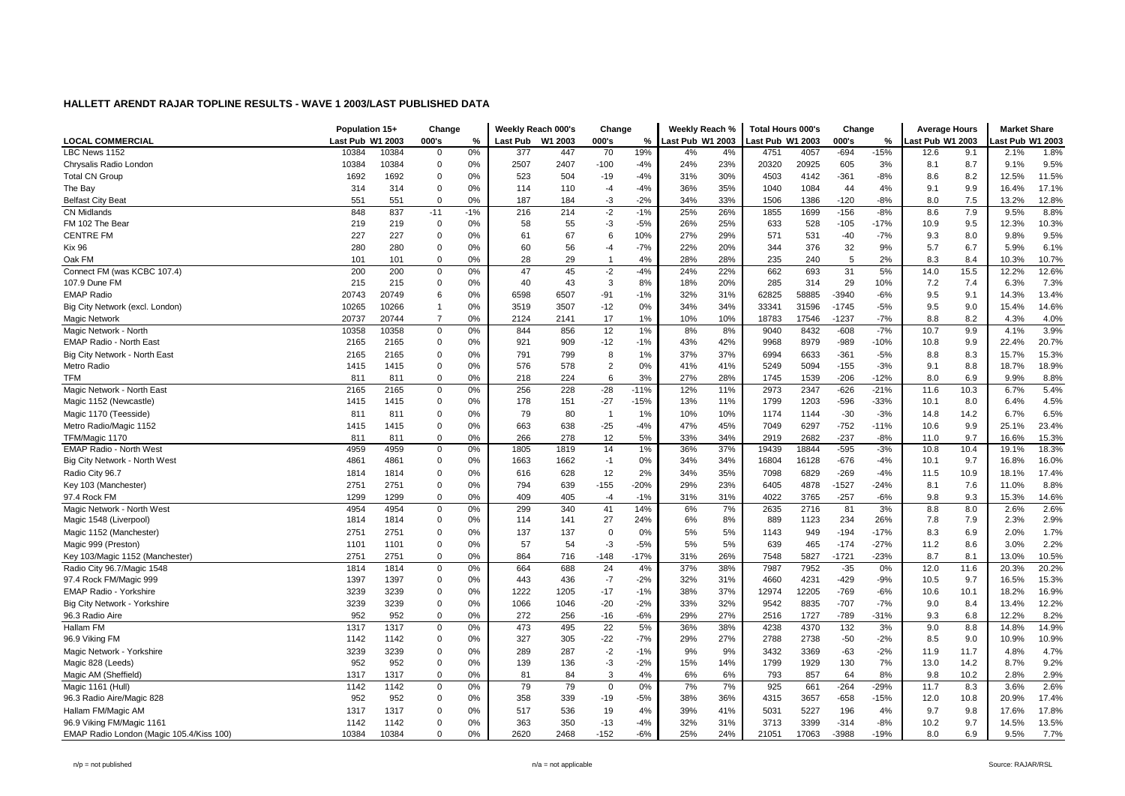|                                          | Population 15+   |       | Change         |       | Weekly Reach 000's |         | Change         |        | Weekly Reach %   |     | <b>Total Hours 000's</b> |       | Change  |        | <b>Average Hours</b> |      | <b>Market Share</b> |       |
|------------------------------------------|------------------|-------|----------------|-------|--------------------|---------|----------------|--------|------------------|-----|--------------------------|-------|---------|--------|----------------------|------|---------------------|-------|
| <b>LOCAL COMMERCIAL</b>                  | Last Pub W1 2003 |       | 000's          | %     | Last Pub           | W1 2003 | 000's          | %      | Last Pub W1 2003 |     | ast Pub W1 2003          |       | 000's   | $\%$   | ast Pub W1 2003      |      | ast Pub W1 2003     |       |
| LBC News 1152                            | 10384            | 10384 | $\mathbf 0$    | 0%    | 377                | 447     | 70             | 19%    | 4%               | 4%  | 4751                     | 4057  | $-694$  | $-15%$ | 12.6                 | 9.1  | 2.1%                | 1.8%  |
| Chrysalis Radio London                   | 10384            | 10384 | $\overline{0}$ | 0%    | 2507               | 2407    | $-100$         | $-4%$  | 24%              | 23% | 20320                    | 20925 | 605     | 3%     | 8.1                  | 8.7  | 9.1%                | 9.5%  |
| <b>Total CN Group</b>                    | 1692             | 1692  | $\mathbf 0$    | 0%    | 523                | 504     | $-19$          | $-4%$  | 31%              | 30% | 4503                     | 4142  | $-361$  | $-8%$  | 8.6                  | 8.2  | 12.5%               | 11.5% |
| The Bay                                  | 314              | 314   | $\overline{0}$ | 0%    | 114                | 110     | $-4$           | $-4%$  | 36%              | 35% | 1040                     | 1084  | 44      | 4%     | 9.1                  | 9.9  | 16.4%               | 17.1% |
| <b>Belfast City Beat</b>                 | 551              | 551   | $\mathbf 0$    | 0%    | 187                | 184     | $-3$           | $-2%$  | 34%              | 33% | 1506                     | 1386  | $-120$  | $-8%$  | 8.0                  | 7.5  | 13.2%               | 12.8% |
| <b>CN Midlands</b>                       | 848              | 837   | $-11$          | $-1%$ | 216                | 214     | $-2$           | $-1%$  | 25%              | 26% | 1855                     | 1699  | $-156$  | $-8%$  | 8.6                  | 7.9  | 9.5%                | 8.8%  |
| FM 102 The Bear                          | 219              | 219   | $\overline{0}$ | 0%    | 58                 | 55      | $-3$           | $-5%$  | 26%              | 25% | 633                      | 528   | $-105$  | $-17%$ | 10.9                 | 9.5  | 12.3%               | 10.3% |
| <b>CENTRE FM</b>                         | 227              | 227   | $\overline{0}$ | 0%    | 61                 | 67      | 6              | 10%    | 27%              | 29% | 571                      | 531   | $-40$   | $-7%$  | 9.3                  | 8.0  | 9.8%                | 9.5%  |
| <b>Kix 96</b>                            | 280              | 280   | $\mathbf 0$    | 0%    | 60                 | 56      | $-4$           | $-7%$  | 22%              | 20% | 344                      | 376   | 32      | 9%     | 5.7                  | 6.7  | 5.9%                | 6.1%  |
| Oak FM                                   | 101              | 101   | 0              | 0%    | 28                 | 29      | $\overline{1}$ | 4%     | 28%              | 28% | 235                      | 240   | 5       | 2%     | 8.3                  | 8.4  | 10.3%               | 10.7% |
| Connect FM (was KCBC 107.4)              | 200              | 200   | $\mathbf 0$    | 0%    | 47                 | 45      | $-2$           | $-4%$  | 24%              | 22% | 662                      | 693   | 31      | 5%     | 14.0                 | 15.5 | 12.2%               | 12.6% |
| 107.9 Dune FM                            | 215              | 215   | 0              | 0%    | 40                 | 43      | 3              | 8%     | 18%              | 20% | 285                      | 314   | 29      | 10%    | 7.2                  | 7.4  | 6.3%                | 7.3%  |
| <b>EMAP Radio</b>                        | 20743            | 20749 | 6              | 0%    | 6598               | 6507    | $-91$          | $-1%$  | 32%              | 31% | 62825                    | 58885 | $-3940$ | $-6%$  | 9.5                  | 9.1  | 14.3%               | 13.4% |
| Big City Network (excl. London)          | 10265            | 10266 | $\overline{1}$ | 0%    | 3519               | 3507    | $-12$          | 0%     | 34%              | 34% | 33341                    | 31596 | $-1745$ | $-5%$  | 9.5                  | 9.0  | 15.4%               | 14.6% |
| Magic Network                            | 20737            | 20744 | $\overline{7}$ | 0%    | 2124               | 2141    | 17             | 1%     | 10%              | 10% | 18783                    | 17546 | $-1237$ | $-7%$  | 8.8                  | 8.2  | 4.3%                | 4.0%  |
| Magic Network - North                    | 10358            | 10358 | $\mathbf 0$    | 0%    | 844                | 856     | 12             | 1%     | 8%               | 8%  | 9040                     | 8432  | $-608$  | $-7%$  | 10.7                 | 9.9  | 4.1%                | 3.9%  |
| <b>EMAP Radio - North East</b>           | 2165             | 2165  | $\mathbf 0$    | 0%    | 921                | 909     | $-12$          | $-1%$  | 43%              | 42% | 9968                     | 8979  | $-989$  | $-10%$ | 10.8                 | 9.9  | 22.4%               | 20.7% |
| Big City Network - North East            | 2165             | 2165  | $\mathbf 0$    | 0%    | 791                | 799     | 8              | 1%     | 37%              | 37% | 6994                     | 6633  | $-361$  | $-5%$  | 8.8                  | 8.3  | 15.7%               | 15.3% |
| Metro Radio                              | 1415             | 1415  | $\mathbf 0$    | 0%    | 576                | 578     | $\overline{2}$ | 0%     | 41%              | 41% | 5249                     | 5094  | $-155$  | $-3%$  | 9.1                  | 8.8  | 18.7%               | 18.9% |
| <b>TFM</b>                               | 811              | 811   | 0              | 0%    | 218                | 224     | 6              | 3%     | 27%              | 28% | 1745                     | 1539  | $-206$  | $-12%$ | 8.0                  | 6.9  | 9.9%                | 8.8%  |
| Magic Network - North East               | 2165             | 2165  | $\mathbf 0$    | 0%    | 256                | 228     | $-28$          | $-11%$ | 12%              | 11% | 2973                     | 2347  | $-626$  | $-21%$ | 11.6                 | 10.3 | 6.7%                | 5.4%  |
| Magic 1152 (Newcastle)                   | 1415             | 1415  | $\mathbf 0$    | 0%    | 178                | 151     | $-27$          | $-15%$ | 13%              | 11% | 1799                     | 1203  | -596    | $-33%$ | 10.1                 | 8.0  | 6.4%                | 4.5%  |
| Magic 1170 (Teesside)                    | 811              | 811   | $\overline{0}$ | 0%    | 79                 | 80      | $\overline{1}$ | 1%     | 10%              | 10% | 1174                     | 1144  | $-30$   | $-3%$  | 14.8                 | 14.2 | 6.7%                | 6.5%  |
| Metro Radio/Magic 1152                   | 1415             | 1415  | $\overline{0}$ | 0%    | 663                | 638     | $-25$          | $-4%$  | 47%              | 45% | 7049                     | 6297  | $-752$  | $-11%$ | 10.6                 | 9.9  | 25.1%               | 23.4% |
| TFM/Magic 1170                           | 811              | 811   | $\mathbf 0$    | 0%    | 266                | 278     | 12             | 5%     | 33%              | 34% | 2919                     | 2682  | $-237$  | $-8%$  | 11.0                 | 9.7  | 16.6%               | 15.3% |
| <b>EMAP Radio - North West</b>           | 4959             | 4959  | 0              | 0%    | 1805               | 1819    | 14             | 1%     | 36%              | 37% | 19439                    | 18844 | $-595$  | $-3%$  | 10.8                 | 10.4 | 19.1%               | 18.3% |
| Big City Network - North West            | 4861             | 4861  | 0              | 0%    | 1663               | 1662    | $-1$           | 0%     | 34%              | 34% | 16804                    | 16128 | $-676$  | $-4%$  | 10.1                 | 9.7  | 16.8%               | 16.0% |
| Radio City 96.7                          | 1814             | 1814  | $\overline{0}$ | 0%    | 616                | 628     | 12             | 2%     | 34%              | 35% | 7098                     | 6829  | $-269$  | $-4%$  | 11.5                 | 10.9 | 18.1%               | 17.4% |
| Key 103 (Manchester)                     | 2751             | 2751  | $\Omega$       | 0%    | 794                | 639     | $-155$         | $-20%$ | 29%              | 23% | 6405                     | 4878  | $-1527$ | $-24%$ | 8.1                  | 7.6  | 11.0%               | 8.8%  |
| 97.4 Rock FM                             | 1299             | 1299  | $\mathbf 0$    | 0%    | 409                | 405     | $-4$           | $-1%$  | 31%              | 31% | 4022                     | 3765  | $-257$  | $-6%$  | 9.8                  | 9.3  | 15.3%               | 14.6% |
| Magic Network - North West               | 4954             | 4954  | $\mathsf 0$    | 0%    | 299                | 340     | 41             | 14%    | 6%               | 7%  | 2635                     | 2716  | 81      | 3%     | 8.8                  | 8.0  | 2.6%                | 2.6%  |
| Magic 1548 (Liverpool)                   | 1814             | 1814  | $\mathbf 0$    | 0%    | 114                | 141     | 27             | 24%    | 6%               | 8%  | 889                      | 1123  | 234     | 26%    | 7.8                  | 7.9  | 2.3%                | 2.9%  |
| Magic 1152 (Manchester)                  | 2751             | 2751  | $\overline{0}$ | 0%    | 137                | 137     | $\Omega$       | 0%     | 5%               | 5%  | 1143                     | 949   | $-194$  | $-17%$ | 8.3                  | 6.9  | 2.0%                | 1.7%  |
| Magic 999 (Preston)                      | 1101             | 1101  | $\mathbf 0$    | 0%    | 57                 | 54      | $-3$           | $-5%$  | 5%               | 5%  | 639                      | 465   | $-174$  | $-27%$ | 11.2                 | 8.6  | 3.0%                | 2.2%  |
| Key 103/Magic 1152 (Manchester)          | 2751             | 2751  | $\mathbf 0$    | 0%    | 864                | 716     | $-148$         | $-17%$ | 31%              | 26% | 7548                     | 5827  | $-1721$ | $-23%$ | 8.7                  | 8.1  | 13.0%               | 10.5% |
| Radio City 96.7/Magic 1548               | 1814             | 1814  | $\mathbf 0$    | 0%    | 664                | 688     | 24             | 4%     | 37%              | 38% | 7987                     | 7952  | $-35$   | 0%     | 12.0                 | 11.6 | 20.3%               | 20.2% |
| 97.4 Rock FM/Magic 999                   | 1397             | 1397  | 0              | 0%    | 443                | 436     | $-7$           | $-2%$  | 32%              | 31% | 4660                     | 4231  | $-429$  | $-9%$  | 10.5                 | 9.7  | 16.5%               | 15.3% |
| <b>EMAP Radio - Yorkshire</b>            | 3239             | 3239  | $\overline{0}$ | 0%    | 1222               | 1205    | $-17$          | $-1%$  | 38%              | 37% | 12974                    | 12205 | $-769$  | $-6%$  | 10.6                 | 10.1 | 18.2%               | 16.9% |
| Big City Network - Yorkshire             | 3239             | 3239  | $\Omega$       | 0%    | 1066               | 1046    | $-20$          | $-2%$  | 33%              | 32% | 9542                     | 8835  | $-707$  | $-7%$  | 9.0                  | 8.4  | 13.4%               | 12.2% |
| 96.3 Radio Aire                          | 952              | 952   | $\mathbf 0$    | 0%    | 272                | 256     | $-16$          | $-6%$  | 29%              | 27% | 2516                     | 1727  | $-789$  | $-31%$ | 9.3                  | 6.8  | 12.2%               | 8.2%  |
| Hallam FM                                | 1317             | 1317  | 0              | 0%    | 473                | 495     | 22             | 5%     | 36%              | 38% | 4238                     | 4370  | 132     | 3%     | 9.0                  | 8.8  | 14.8%               | 14.9% |
| 96.9 Viking FM                           | 1142             | 1142  | 0              | 0%    | 327                | 305     | $-22$          | $-7%$  | 29%              | 27% | 2788                     | 2738  | $-50$   | $-2%$  | 8.5                  | 9.0  | 10.9%               | 10.9% |
| Magic Network - Yorkshire                | 3239             | 3239  | $\Omega$       | 0%    | 289                | 287     | $-2$           | $-1%$  | 9%               | 9%  | 3432                     | 3369  | $-63$   | $-2%$  | 11.9                 | 11.7 | 4.8%                | 4.7%  |
| Magic 828 (Leeds)                        | 952              | 952   | 0              | 0%    | 139                | 136     | $-3$           | $-2%$  | 15%              | 14% | 1799                     | 1929  | 130     | 7%     | 13.0                 | 14.2 | 8.7%                | 9.2%  |
| Magic AM (Sheffield)                     | 1317             | 1317  | $\mathbf 0$    | 0%    | 81                 | 84      | 3              | 4%     | 6%               | 6%  | 793                      | 857   | 64      | 8%     | 9.8                  | 10.2 | 2.8%                | 2.9%  |
| Magic 1161 (Hull                         | 1142             | 1142  | $\mathbf 0$    | 0%    | 79                 | 79      | $\Omega$       | 0%     | 7%               | 7%  | 925                      | 661   | $-264$  | $-29%$ | 11.7                 | 8.3  | 3.6%                | 2.6%  |
| 96.3 Radio Aire/Magic 828                | 952              | 952   | 0              | 0%    | 358                | 339     | $-19$          | $-5%$  | 38%              | 36% | 4315                     | 3657  | -658    | $-15%$ | 12.0                 | 10.8 | 20.9%               | 17.4% |
| Hallam FM/Magic AM                       | 1317             | 1317  | $\overline{0}$ | 0%    | 517                | 536     | 19             | 4%     | 39%              | 41% | 5031                     | 5227  | 196     | 4%     | 9.7                  | 9.8  | 17.6%               | 17.8% |
| 96.9 Viking FM/Magic 1161                | 1142             | 1142  | $\overline{0}$ | 0%    | 363                | 350     | $-13$          | $-4%$  | 32%              | 31% | 3713                     | 3399  | $-314$  | $-8%$  | 10.2                 | 9.7  | 14.5%               | 13.5% |
| EMAP Radio London (Magic 105.4/Kiss 100) | 10384            | 10384 | $\mathbf 0$    | 0%    | 2620               | 2468    | $-152$         | $-6%$  | 25%              | 24% | 21051                    | 17063 | $-3988$ | $-19%$ | 8.0                  | 6.9  | 9.5%                | 7.7%  |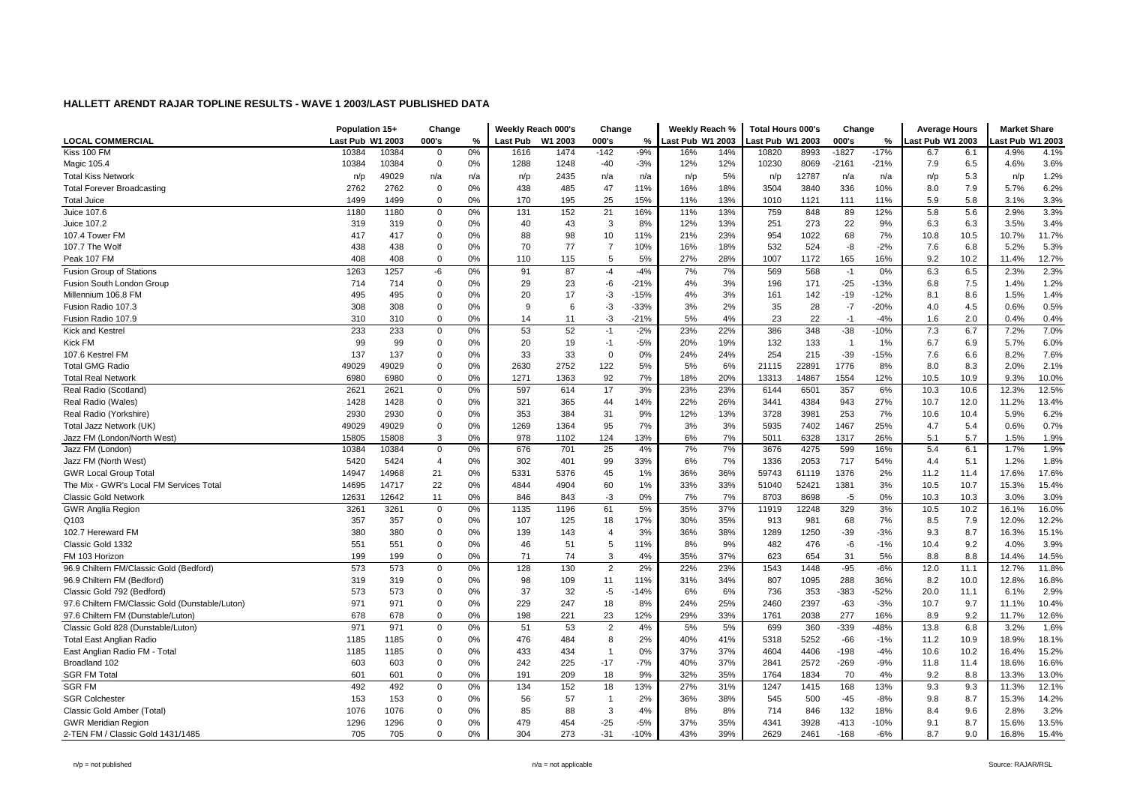|                                                 | Population 15+<br>Change |       |                | Weekly Reach 000's |                 | Change  |                | Weekly Reach % |                  | <b>Total Hours 000's</b> |                 | Change |                | <b>Average Hours</b> |                 | <b>Market Share</b> |                 |       |
|-------------------------------------------------|--------------------------|-------|----------------|--------------------|-----------------|---------|----------------|----------------|------------------|--------------------------|-----------------|--------|----------------|----------------------|-----------------|---------------------|-----------------|-------|
| <b>LOCAL COMMERCIAL</b>                         | Last Pub W1 2003         |       | 000's          | %                  | <b>Last Pub</b> | W1 2003 | 000's          | %              | Last Pub W1 2003 |                          | ast Pub W1 2003 |        | 000's          | $\%$                 | ast Pub W1 2003 |                     | ast Pub W1 2003 |       |
| Kiss 100 FM                                     | 10384                    | 10384 | 0              | 0%                 | 1616            | 1474    | $-142$         | $-9%$          | 16%              | 14%                      | 10820           | 8993   | $-1827$        | $-17%$               | 6.7             | 6.1                 | 4.9%            | 4.1%  |
| Magic 105.4                                     | 10384                    | 10384 | $\mathbf 0$    | 0%                 | 1288            | 1248    | $-40$          | $-3%$          | 12%              | 12%                      | 10230           | 8069   | $-2161$        | $-21%$               | 7.9             | 6.5                 | 4.6%            | 3.6%  |
| <b>Total Kiss Network</b>                       | n/p                      | 49029 | n/a            | n/a                | n/p             | 2435    | n/a            | n/a            | n/p              | 5%                       | n/p             | 12787  | n/a            | n/a                  | n/p             | 5.3                 | n/p             | 1.2%  |
| <b>Total Forever Broadcasting</b>               | 2762                     | 2762  | $\mathbf 0$    | 0%                 | 438             | 485     | 47             | 11%            | 16%              | 18%                      | 3504            | 3840   | 336            | 10%                  | 8.0             | 7.9                 | 5.7%            | 6.2%  |
| <b>Total Juice</b>                              | 1499                     | 1499  | $\mathbf 0$    | 0%                 | 170             | 195     | 25             | 15%            | 11%              | 13%                      | 1010            | 1121   | 111            | 11%                  | 5.9             | 5.8                 | 3.1%            | 3.3%  |
| Juice 107.6                                     | 1180                     | 1180  | 0              | 0%                 | 131             | 152     | 21             | 16%            | 11%              | 13%                      | 759             | 848    | 89             | 12%                  | 5.8             | 5.6                 | 2.9%            | 3.3%  |
| Juice 107.2                                     | 319                      | 319   | $\mathbf 0$    | 0%                 | 40              | 43      | 3              | 8%             | 12%              | 13%                      | 251             | 273    | 22             | 9%                   | 6.3             | 6.3                 | 3.5%            | 3.4%  |
| 107.4 Tower FM                                  | 417                      | 417   | 0              | 0%                 | 88              | 98      | 10             | 11%            | 21%              | 23%                      | 954             | 1022   | 68             | 7%                   | 10.8            | 10.5                | 10.7%           | 11.7% |
| 107.7 The Wolf                                  | 438                      | 438   | $\mathbf 0$    | 0%                 | 70              | 77      | $\overline{7}$ | 10%            | 16%              | 18%                      | 532             | 524    | $-8$           | $-2%$                | 7.6             | 6.8                 | 5.2%            | 5.3%  |
| Peak 107 FM                                     | 408                      | 408   | $\mathbf 0$    | 0%                 | 110             | 115     | 5              | 5%             | 27%              | 28%                      | 1007            | 1172   | 165            | 16%                  | 9.2             | 10.2                | 11.4%           | 12.7% |
| <b>Fusion Group of Stations</b>                 | 1263                     | 1257  | -6             | 0%                 | 91              | 87      | $-4$           | $-4%$          | 7%               | 7%                       | 569             | 568    | $-1$           | 0%                   | 6.3             | 6.5                 | 2.3%            | 2.3%  |
| Fusion South London Group                       | 714                      | 714   | $\overline{0}$ | 0%                 | 29              | 23      | -6             | $-21%$         | 4%               | 3%                       | 196             | 171    | $-25$          | $-13%$               | 6.8             | 7.5                 | 1.4%            | 1.2%  |
| Millennium 106.8 FM                             | 495                      | 495   | 0              | 0%                 | 20              | 17      | -3             | $-15%$         | 4%               | 3%                       | 161             | 142    | -19            | $-12%$               | 8.1             | 8.6                 | 1.5%            | 1.4%  |
| Fusion Radio 107.3                              | 308                      | 308   | $\mathbf 0$    | 0%                 | 9               | 6       | -3             | $-33%$         | 3%               | 2%                       | 35              | 28     | $-7$           | $-20%$               | 4.0             | 4.5                 | 0.6%            | 0.5%  |
| Fusion Radio 107.9                              | 310                      | 310   | $\mathbf 0$    | 0%                 | 14              | 11      | $-3$           | $-21%$         | 5%               | 4%                       | 23              | 22     | $-1$           | $-4%$                | 1.6             | 2.0                 | 0.4%            | 0.4%  |
| Kick and Kestrel                                | 233                      | 233   | $\mathbf 0$    | 0%                 | 53              | 52      | $-1$           | $-2%$          | 23%              | 22%                      | 386             | 348    | $-38$          | $-10%$               | 7.3             | 6.7                 | 7.2%            | 7.0%  |
| <b>Kick FM</b>                                  | 99                       | 99    | $\overline{0}$ | 0%                 | 20              | 19      | $-1$           | $-5%$          | 20%              | 19%                      | 132             | 133    | $\overline{1}$ | 1%                   | 6.7             | 6.9                 | 5.7%            | 6.0%  |
| 107.6 Kestrel FM                                | 137                      | 137   | $\mathbf 0$    | 0%                 | 33              | 33      | $\overline{0}$ | 0%             | 24%              | 24%                      | 254             | 215    | $-39$          | $-15%$               | 7.6             | 6.6                 | 8.2%            | 7.6%  |
| <b>Total GMG Radio</b>                          | 49029                    | 49029 | $\mathbf 0$    | 0%                 | 2630            | 2752    | 122            | 5%             | 5%               | 6%                       | 21115           | 22891  | 1776           | 8%                   | 8.0             | 8.3                 | 2.0%            | 2.1%  |
| <b>Total Real Network</b>                       | 6980                     | 6980  | 0              | 0%                 | 1271            | 1363    | 92             | 7%             | 18%              | 20%                      | 13313           | 14867  | 1554           | 12%                  | 10.5            | 10.9                | 9.3%            | 10.0% |
| Real Radio (Scotland)                           | 2621                     | 2621  | $\mathsf 0$    | 0%                 | 597             | 614     | 17             | 3%             | 23%              | 23%                      | 6144            | 6501   | 357            | $6\%$                | 10.3            | 10.6                | 12.3%           | 12.5% |
| Real Radio (Wales)                              | 1428                     | 1428  | $\mathbf 0$    | 0%                 | 321             | 365     | 44             | 14%            | 22%              | 26%                      | 3441            | 4384   | 943            | 27%                  | 10.7            | 12.0                | 11.2%           | 13.4% |
| Real Radio (Yorkshire)                          | 2930                     | 2930  | 0              | 0%                 | 353             | 384     | 31             | 9%             | 12%              | 13%                      | 3728            | 3981   | 253            | 7%                   | 10.6            | 10.4                | 5.9%            | 6.2%  |
| Total Jazz Network (UK)                         | 49029                    | 49029 | $\mathbf 0$    | 0%                 | 1269            | 1364    | 95             | 7%             | 3%               | 3%                       | 5935            | 7402   | 1467           | 25%                  | 4.7             | 5.4                 | 0.6%            | 0.7%  |
| Jazz FM (London/North West)                     | 15805                    | 15808 | 3              | 0%                 | 978             | 1102    | 124            | 13%            | 6%               | 7%                       | 5011            | 6328   | 1317           | 26%                  | 5.1             | 5.7                 | 1.5%            | 1.9%  |
| Jazz FM (London)                                | 10384                    | 10384 | $\mathbf 0$    | 0%                 | 676             | 701     | 25             | 4%             | 7%               | 7%                       | 3676            | 4275   | 599            | 16%                  | 5.4             | 6.1                 | 1.7%            | 1.9%  |
| Jazz FM (North West)                            | 5420                     | 5424  | $\overline{4}$ | 0%                 | 302             | 401     | 99             | 33%            | 6%               | 7%                       | 1336            | 2053   | 717            | 54%                  | 4.4             | 5.1                 | 1.2%            | 1.8%  |
| <b>GWR Local Group Tota</b>                     | 14947                    | 14968 | 21             | 0%                 | 5331            | 5376    | 45             | 1%             | 36%              | 36%                      | 59743           | 61119  | 1376           | 2%                   | 11.2            | 11.4                | 17.6%           | 17.6% |
| The Mix - GWR's Local FM Services Total         | 14695                    | 14717 | 22             | 0%                 | 4844            | 4904    | 60             | 1%             | 33%              | 33%                      | 51040           | 52421  | 1381           | 3%                   | 10.5            | 10.7                | 15.3%           | 15.4% |
| <b>Classic Gold Network</b>                     | 12631                    | 12642 | 11             | 0%                 | 846             | 843     | -3             | 0%             | 7%               | 7%                       | 8703            | 8698   | $-5$           | 0%                   | 10.3            | 10.3                | 3.0%            | 3.0%  |
| <b>GWR Anglia Region</b>                        | 3261                     | 3261  | $\mathsf 0$    | 0%                 | 1135            | 1196    | 61             | 5%             | 35%              | 37%                      | 11919           | 12248  | 329            | 3%                   | 10.5            | 10.2                | 16.1%           | 16.0% |
| Q103                                            | 357                      | 357   | 0              | 0%                 | 107             | 125     | 18             | 17%            | 30%              | 35%                      | 913             | 981    | 68             | 7%                   | 8.5             | 7.9                 | 12.0%           | 12.2% |
| 102.7 Hereward FM                               | 380                      | 380   | $\mathbf 0$    | 0%                 | 139             | 143     | $\overline{4}$ | 3%             | 36%              | 38%                      | 1289            | 1250   | $-39$          | $-3%$                | 9.3             | 8.7                 | 16.3%           | 15.1% |
| Classic Gold 1332                               | 551                      | 551   | $\mathbf 0$    | 0%                 | 46              | 51      | 5              | 11%            | 8%               | 9%                       | 482             | 476    | -6             | $-1%$                | 10.4            | 9.2                 | 4.0%            | 3.9%  |
| FM 103 Horizon                                  | 199                      | 199   | $\mathbf 0$    | 0%                 | 71              | 74      | 3              | 4%             | 35%              | 37%                      | 623             | 654    | 31             | 5%                   | 8.8             | 8.8                 | 14.4%           | 14.5% |
| 96.9 Chiltern FM/Classic Gold (Bedford)         | 573                      | 573   | $\mathbf 0$    | 0%                 | 128             | 130     | 2              | 2%             | 22%              | 23%                      | 1543            | 1448   | $-95$          | $-6%$                | 12.0            | 11.1                | 12.7%           | 11.8% |
| 96.9 Chiltern FM (Bedford)                      | 319                      | 319   | 0              | 0%                 | 98              | 109     | 11             | 11%            | 31%              | 34%                      | 807             | 1095   | 288            | 36%                  | 8.2             | 10.0                | 12.8%           | 16.8% |
| Classic Gold 792 (Bedford)                      | 573                      | 573   | $\mathbf 0$    | 0%                 | 37              | 32      | $-5$           | $-14%$         | 6%               | 6%                       | 736             | 353    | $-383$         | $-52%$               | 20.0            | 11.1                | 6.1%            | 2.9%  |
| 97.6 Chiltern FM/Classic Gold (Dunstable/Luton) | 971                      | 971   | $\mathbf 0$    | 0%                 | 229             | 247     | 18             | 8%             | 24%              | 25%                      | 2460            | 2397   | $-63$          | $-3%$                | 10.7            | 9.7                 | 11.1%           | 10.4% |
| 97.6 Chiltern FM (Dunstable/Luton)              | 678                      | 678   | $\mathbf 0$    | 0%                 | 198             | 221     | 23             | 12%            | 29%              | 33%                      | 1761            | 2038   | 277            | 16%                  | 8.9             | 9.2                 | 11.7%           | 12.6% |
| Classic Gold 828 (Dunstable/Luton)              | 971                      | 971   | $\mathbf 0$    | 0%                 | 51              | 53      | $\overline{2}$ | 4%             | 5%               | 5%                       | 699             | 360    | $-339$         | $-48%$               | 13.8            | 6.8                 | 3.2%            | 1.6%  |
| <b>Total East Anglian Radio</b>                 | 1185                     | 1185  | $\mathbf 0$    | 0%                 | 476             | 484     | 8              | 2%             | 40%              | 41%                      | 5318            | 5252   | $-66$          | $-1%$                | 11.2            | 10.9                | 18.9%           | 18.1% |
| East Anglian Radio FM - Total                   | 1185                     | 1185  | $\mathbf 0$    | 0%                 | 433             | 434     | $\overline{1}$ | 0%             | 37%              | 37%                      | 4604            | 4406   | $-198$         | $-4%$                | 10.6            | 10.2                | 16.4%           | 15.2% |
| Broadland 102                                   | 603                      | 603   | 0              | 0%                 | 242             | 225     | $-17$          | $-7%$          | 40%              | 37%                      | 2841            | 2572   | $-269$         | $-9%$                | 11.8            | 11.4                | 18.6%           | 16.6% |
| <b>SGR FM Total</b>                             | 601                      | 601   | $\mathbf 0$    | 0%                 | 191             | 209     | 18             | 9%             | 32%              | 35%                      | 1764            | 1834   | 70             | 4%                   | 9.2             | 8.8                 | 13.3%           | 13.0% |
| <b>SGR FM</b>                                   | 492                      | 492   | $\mathbf 0$    | 0%                 | 134             | 152     | 18             | 13%            | 27%              | 31%                      | 1247            | 1415   | 168            | 13%                  | 9.3             | 9.3                 | 11.3%           | 12.1% |
| <b>SGR Colchester</b>                           | 153                      | 153   | 0              | 0%                 | 56              | 57      | $\overline{1}$ | 2%             | 36%              | 38%                      | 545             | 500    | -45            | $-8%$                | 9.8             | 8.7                 | 15.3%           | 14.2% |
| Classic Gold Amber (Total)                      | 1076                     | 1076  | $\mathbf 0$    | 0%                 | 85              | 88      | 3              | 4%             | 8%               | 8%                       | 714             | 846    | 132            | 18%                  | 8.4             | 9.6                 | 2.8%            | 3.2%  |
| <b>GWR Meridian Region</b>                      | 1296                     | 1296  | $\mathbf 0$    | 0%                 | 479             | 454     | $-25$          | $-5%$          | 37%              | 35%                      | 4341            | 3928   | $-413$         | $-10%$               | 9.1             | 8.7                 | 15.6%           | 13.5% |
| 2-TEN FM / Classic Gold 1431/1485               | 705                      | 705   | $\Omega$       | 0%                 | 304             | 273     | $-31$          | $-10%$         | 43%              | 39%                      | 2629            | 2461   | $-168$         | $-6%$                | 8.7             | 9.0                 | 16.8%           | 15.4% |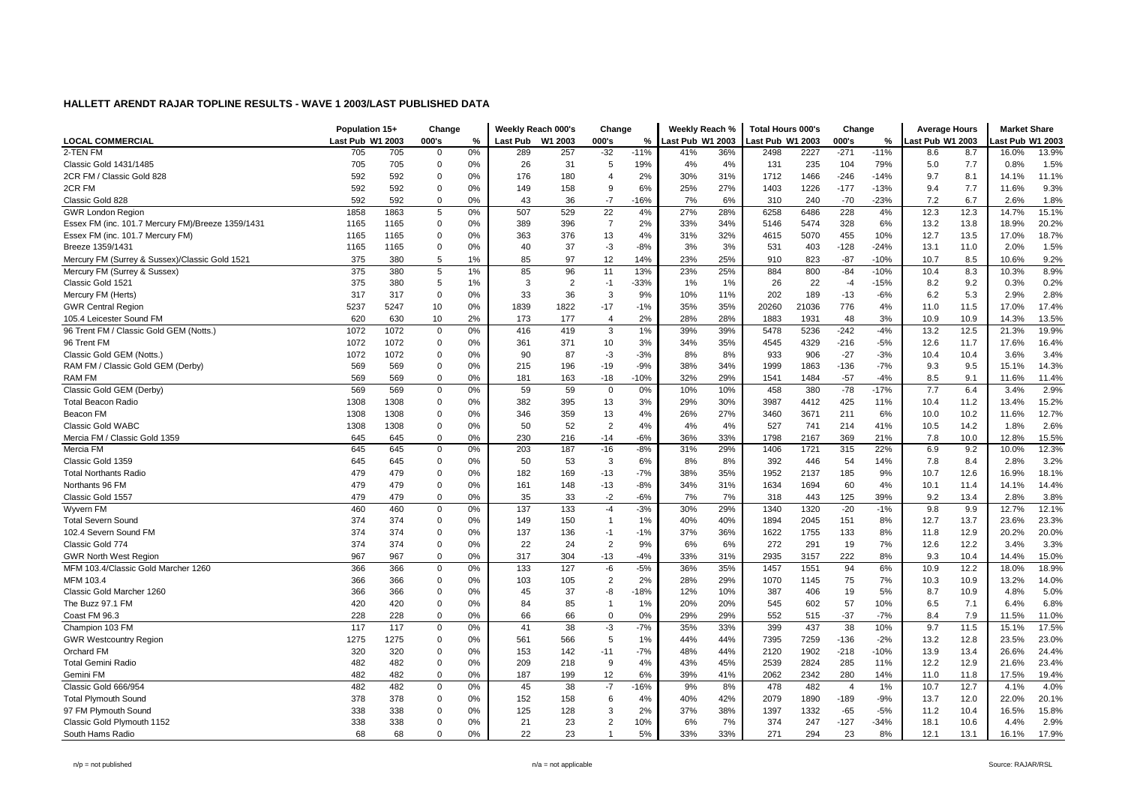|                                                   |                  | Population 15+<br>Change |                | Weekly Reach 000's<br>Change |                 |         | Weekly Reach % |        | <b>Total Hours 000's</b> |     | Change          |       | <b>Average Hours</b> |        | <b>Market Share</b> |      |                 |       |
|---------------------------------------------------|------------------|--------------------------|----------------|------------------------------|-----------------|---------|----------------|--------|--------------------------|-----|-----------------|-------|----------------------|--------|---------------------|------|-----------------|-------|
| <b>LOCAL COMMERCIAL</b>                           | Last Pub W1 2003 |                          | 000's          | $\%$                         | <b>Last Pub</b> | W1 2003 | 000's          | %      | Last Pub W1 2003         |     | ast Pub W1 2003 |       | 000's<br>$\%$        |        | ast Pub W1 2003     |      | ast Pub W1 2003 |       |
| 2-TEN FM                                          | 705              | 705                      | $\mathbf 0$    | 0%                           | 289             | 257     | $-32$          | $-11%$ | 41%                      | 36% | 2498            | 2227  | $-271$               | $-11%$ | 8.6                 | 8.7  | 16.0%           | 13.9% |
| Classic Gold 1431/1485                            | 705              | 705                      | 0              | 0%                           | 26              | 31      | -5             | 19%    | 4%                       | 4%  | 131             | 235   | 104                  | 79%    | 5.0                 | 7.7  | 0.8%            | 1.5%  |
| 2CR FM / Classic Gold 828                         | 592              | 592                      | $\mathbf 0$    | 0%                           | 176             | 180     | $\overline{4}$ | 2%     | 30%                      | 31% | 1712            | 1466  | $-246$               | $-14%$ | 9.7                 | 8.1  | 14.1%           | 11.1% |
| 2CR FM                                            | 592              | 592                      | $\mathbf 0$    | 0%                           | 149             | 158     | 9              | 6%     | 25%                      | 27% | 1403            | 1226  | $-177$               | $-13%$ | 9.4                 | 7.7  | 11.6%           | 9.3%  |
| Classic Gold 828                                  | 592              | 592                      | $\mathbf 0$    | 0%                           | 43              | 36      | $-7$           | $-16%$ | 7%                       | 6%  | 310             | 240   | $-70$                | $-23%$ | 7.2                 | 6.7  | 2.6%            | 1.8%  |
| <b>GWR London Region</b>                          | 1858             | 1863                     | 5              | 0%                           | 507             | 529     | 22             | 4%     | 27%                      | 28% | 6258            | 6486  | 228                  | 4%     | 12.3                | 12.3 | 14.7%           | 15.1% |
| Essex FM (inc. 101.7 Mercury FM)/Breeze 1359/1431 | 1165             | 1165                     | $\mathbf 0$    | 0%                           | 389             | 396     | $\overline{7}$ | 2%     | 33%                      | 34% | 5146            | 5474  | 328                  | 6%     | 13.2                | 13.8 | 18.9%           | 20.2% |
| Essex FM (inc. 101.7 Mercury FM)                  | 1165             | 1165                     | $\mathbf 0$    | 0%                           | 363             | 376     | 13             | 4%     | 31%                      | 32% | 4615            | 5070  | 455                  | 10%    | 12.7                | 13.5 | 17.0%           | 18.7% |
| Breeze 1359/1431                                  | 1165             | 1165                     | 0              | 0%                           | 40              | 37      | $-3$           | $-8%$  | 3%                       | 3%  | 531             | 403   | $-128$               | $-24%$ | 13.1                | 11.0 | 2.0%            | 1.5%  |
| Mercury FM (Surrey & Sussex)/Classic Gold 1521    | 375              | 380                      | $\,$ 5         | 1%                           | 85              | 97      | 12             | 14%    | 23%                      | 25% | 910             | 823   | $-87$                | $-10%$ | 10.7                | 8.5  | 10.6%           | 9.2%  |
| Mercury FM (Surrey & Sussex)                      | 375              | 380                      | $\sqrt{5}$     | 1%                           | 85              | 96      | 11             | 13%    | 23%                      | 25% | 884             | 800   | $-84$                | $-10%$ | 10.4                | 8.3  | 10.3%           | 8.9%  |
| Classic Gold 1521                                 | 375              | 380                      | 5              | 1%                           | 3               | 2       | $-1$           | $-33%$ | 1%                       | 1%  | 26              | 22    | $-4$                 | $-15%$ | 8.2                 | 9.2  | 0.3%            | 0.2%  |
| Mercury FM (Herts)                                | 317              | 317                      | $\mathbf 0$    | 0%                           | 33              | 36      | 3              | 9%     | 10%                      | 11% | 202             | 189   | $-13$                | $-6%$  | 6.2                 | 5.3  | 2.9%            | 2.8%  |
| <b>GWR Central Regior</b>                         | 5237             | 5247                     | 10             | 0%                           | 1839            | 1822    | $-17$          | $-1%$  | 35%                      | 35% | 20260           | 21036 | 776                  | 4%     | 11.0                | 11.5 | 17.0%           | 17.4% |
| 105.4 Leicester Sound FM                          | 620              | 630                      | 10             | 2%                           | 173             | 177     | $\overline{4}$ | 2%     | 28%                      | 28% | 1883            | 1931  | 48                   | 3%     | 10.9                | 10.9 | 14.3%           | 13.5% |
| 96 Trent FM / Classic Gold GEM (Notts.)           | 1072             | 1072                     | $\mathsf 0$    | 0%                           | 416             | 419     | 3              | 1%     | 39%                      | 39% | 5478            | 5236  | $-242$               | $-4%$  | 13.2                | 12.5 | 21.3%           | 19.9% |
| 96 Trent FM                                       | 1072             | 1072                     | $\mathbf 0$    | 0%                           | 361             | 371     | 10             | 3%     | 34%                      | 35% | 4545            | 4329  | $-216$               | $-5%$  | 12.6                | 11.7 | 17.6%           | 16.4% |
| Classic Gold GEM (Notts.)                         | 1072             | 1072                     | $\mathbf 0$    | 0%                           | 90              | 87      | -3             | $-3%$  | 8%                       | 8%  | 933             | 906   | $-27$                | $-3%$  | 10.4                | 10.4 | 3.6%            | 3.4%  |
| RAM FM / Classic Gold GEM (Derby)                 | 569              | 569                      | 0              | 0%                           | 215             | 196     | $-19$          | $-9%$  | 38%                      | 34% | 1999            | 1863  | $-136$               | $-7%$  | 9.3                 | 9.5  | 15.1%           | 14.3% |
| <b>RAM FM</b>                                     | 569              | 569                      | $\mathbf 0$    | 0%                           | 181             | 163     | $-18$          | $-10%$ | 32%                      | 29% | 1541            | 1484  | $-57$                | $-4%$  | 8.5                 | 9.1  | 11.6%           | 11.4% |
| Classic Gold GEM (Derby)                          | 569              | 569                      | $\mathbf 0$    | 0%                           | 59              | 59      | $\mathbf 0$    | 0%     | 10%                      | 10% | 458             | 380   | $-78$                | $-17%$ | 7.7                 | 6.4  | 3.4%            | 2.9%  |
| <b>Total Beacon Radio</b>                         | 1308             | 1308                     | 0              | 0%                           | 382             | 395     | 13             | 3%     | 29%                      | 30% | 3987            | 4412  | 425                  | 11%    | 10.4                | 11.2 | 13.4%           | 15.2% |
| Beacon FM                                         | 1308             | 1308                     | $\mathbf 0$    | 0%                           | 346             | 359     | 13             | 4%     | 26%                      | 27% | 3460            | 3671  | 211                  | 6%     | 10.0                | 10.2 | 11.6%           | 12.7% |
| Classic Gold WABC                                 | 1308             | 1308                     | $\mathbf 0$    | 0%                           | 50              | 52      | $\overline{2}$ | 4%     | 4%                       | 4%  | 527             | 741   | 214                  | 41%    | 10.5                | 14.2 | 1.8%            | 2.6%  |
| Mercia FM / Classic Gold 1359                     | 645              | 645                      | $\mathbf 0$    | 0%                           | 230             | 216     | $-14$          | $-6%$  | 36%                      | 33% | 1798            | 2167  | 369                  | 21%    | 7.8                 | 10.0 | 12.8%           | 15.5% |
| Mercia FM                                         | 645              | 645                      | $\mathsf 0$    | 0%                           | 203             | 187     | $-16$          | $-8%$  | 31%                      | 29% | 1406            | 1721  | 315                  | 22%    | 6.9                 | 9.2  | 10.0%           | 12.3% |
| Classic Gold 1359                                 | 645              | 645                      | $\mathbf 0$    | 0%                           | 50              | 53      | 3              | 6%     | 8%                       | 8%  | 392             | 446   | 54                   | 14%    | 7.8                 | 8.4  | 2.8%            | 3.2%  |
| <b>Total Northants Radio</b>                      | 479              | 479                      | $\mathbf 0$    | 0%                           | 182             | 169     | $-13$          | $-7%$  | 38%                      | 35% | 1952            | 2137  | 185                  | 9%     | 10.7                | 12.6 | 16.9%           | 18.1% |
| Northants 96 FM                                   | 479              | 479                      | $\mathbf 0$    | 0%                           | 161             | 148     | $-13$          | $-8%$  | 34%                      | 31% | 1634            | 1694  | 60                   | 4%     | 10.1                | 11.4 | 14.1%           | 14.4% |
| Classic Gold 1557                                 | 479              | 479                      | $\mathbf 0$    | 0%                           | 35              | 33      | $-2$           | $-6%$  | 7%                       | 7%  | 318             | 443   | 125                  | 39%    | 9.2                 | 13.4 | 2.8%            | 3.8%  |
| Wyvern FM                                         | 460              | 460                      | $\mathbf 0$    | 0%                           | 137             | 133     | $-4$           | $-3%$  | 30%                      | 29% | 1340            | 1320  | $-20$                | $-1%$  | 9.8                 | 9.9  | 12.7%           | 12.1% |
| <b>Total Severn Sound</b>                         | 374              | 374                      | 0              | 0%                           | 149             | 150     | -1             | 1%     | 40%                      | 40% | 1894            | 2045  | 151                  | 8%     | 12.7                | 13.7 | 23.6%           | 23.3% |
| 102.4 Severn Sound FM                             | 374              | 374                      | $\overline{0}$ | 0%                           | 137             | 136     | $-1$           | $-1%$  | 37%                      | 36% | 1622            | 1755  | 133                  | 8%     | 11.8                | 12.9 | 20.2%           | 20.0% |
| Classic Gold 774                                  | 374              | 374                      | $\mathbf 0$    | 0%                           | 22              | 24      | $\overline{2}$ | 9%     | 6%                       | 6%  | 272             | 291   | 19                   | 7%     | 12.6                | 12.2 | 3.4%            | 3.3%  |
| <b>GWR North West Region</b>                      | 967              | 967                      | $\mathbf 0$    | 0%                           | 317             | 304     | $-13$          | $-4%$  | 33%                      | 31% | 2935            | 3157  | 222                  | 8%     | 9.3                 | 10.4 | 14.4%           | 15.0% |
| MFM 103.4/Classic Gold Marcher 1260               | 366              | 366                      | $\pmb{0}$      | 0%                           | 133             | 127     | -6             | $-5%$  | 36%                      | 35% | 1457            | 1551  | 94                   | 6%     | 10.9                | 12.2 | 18.0%           | 18.9% |
| MFM 103.4                                         | 366              | 366                      | $\mathbf 0$    | 0%                           | 103             | 105     | $\overline{2}$ | 2%     | 28%                      | 29% | 1070            | 1145  | 75                   | 7%     | 10.3                | 10.9 | 13.2%           | 14.0% |
| Classic Gold Marcher 1260                         | 366              | 366                      | 0              | 0%                           | 45              | 37      | -8             | $-18%$ | 12%                      | 10% | 387             | 406   | 19                   | 5%     | 8.7                 | 10.9 | 4.8%            | 5.0%  |
| The Buzz 97.1 FM                                  | 420              | 420                      | $\mathbf 0$    | 0%                           | 84              | 85      | -1             | 1%     | 20%                      | 20% | 545             | 602   | 57                   | 10%    | 6.5                 | 7.1  | 6.4%            | 6.8%  |
| Coast FM 96.3                                     | 228              | 228                      | $\mathbf 0$    | 0%                           | 66              | 66      | $\mathbf 0$    | 0%     | 29%                      | 29% | 552             | 515   | $-37$                | $-7%$  | 8.4                 | 7.9  | 11.5%           | 11.0% |
| Champion 103 FM                                   | 117              | 117                      | 0              | 0%                           | 41              | 38      | $-3$           | $-7%$  | 35%                      | 33% | 399             | 437   | 38                   | 10%    | 9.7                 | 11.5 | 15.1%           | 17.5% |
| <b>GWR Westcountry Region</b>                     | 1275             | 1275                     | $\mathbf 0$    | 0%                           | 561             | 566     | 5              | 1%     | 44%                      | 44% | 7395            | 7259  | $-136$               | $-2%$  | 13.2                | 12.8 | 23.5%           | 23.0% |
| Orchard FM                                        | 320              | 320                      | $\mathbf 0$    | 0%                           | 153             | 142     | $-11$          | $-7%$  | 48%                      | 44% | 2120            | 1902  | $-218$               | $-10%$ | 13.9                | 13.4 | 26.6%           | 24.4% |
| <b>Total Gemini Radio</b>                         | 482              | 482                      | $\mathbf 0$    | 0%                           | 209             | 218     | 9              | 4%     | 43%                      | 45% | 2539            | 2824  | 285                  | 11%    | 12.2                | 12.9 | 21.6%           | 23.4% |
| Gemini FM                                         | 482              | 482                      | 0              | 0%                           | 187             | 199     | 12             | 6%     | 39%                      | 41% | 2062            | 2342  | 280                  | 14%    | 11.0                | 11.8 | 17.5%           | 19.4% |
| Classic Gold 666/954                              | 482              | 482                      | $\mathsf 0$    | 0%                           | 45              | 38      | $-7$           | $-16%$ | 9%                       | 8%  | 478             | 482   | $\overline{4}$       | 1%     | 10.7                | 12.7 | 4.1%            | 4.0%  |
| <b>Total Plymouth Sound</b>                       | 378              | 378                      | $\mathbf 0$    | 0%                           | 152             | 158     | 6              | 4%     | 40%                      | 42% | 2079            | 1890  | $-189$               | $-9%$  | 13.7                | 12.0 | 22.0%           | 20.1% |
| 97 FM Plymouth Sound                              | 338              | 338                      | $\overline{0}$ | 0%                           | 125             | 128     | 3              | 2%     | 37%                      | 38% | 1397            | 1332  | $-65$                | $-5%$  | 11.2                | 10.4 | 16.5%           | 15.8% |
| Classic Gold Plymouth 1152                        | 338              | 338                      | $\mathbf 0$    | 0%                           | 21              | 23      | $\overline{2}$ | 10%    | 6%                       | 7%  | 374             | 247   | $-127$               | $-34%$ | 18.1                | 10.6 | 4.4%            | 2.9%  |
| South Hams Radio                                  | 68               | 68                       | $\Omega$       | 0%                           | 22              | 23      |                | 5%     | 33%                      | 33% | 271             | 294   | 23                   | 8%     | 12.1                | 13.1 | 16.1%           | 17.9% |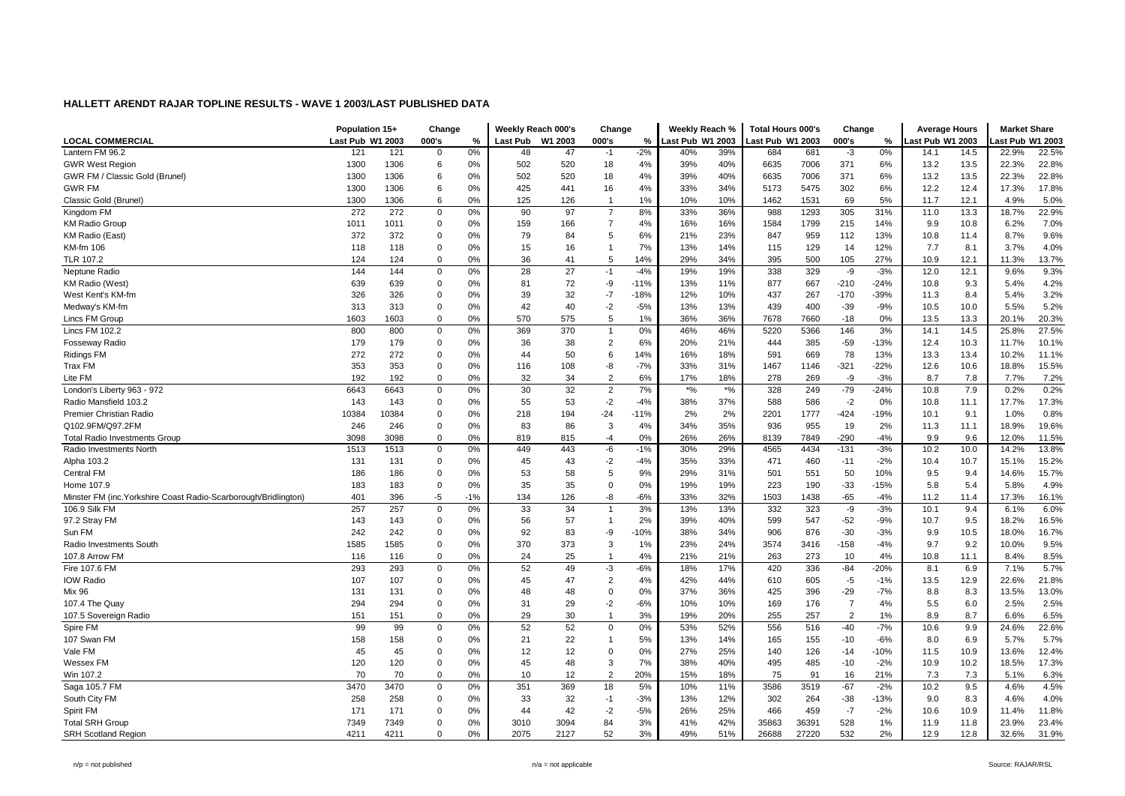|                                                                 | Population 15+   |       | Change         |       | Weekly Reach 000's |         | Change         |        | Weekly Reach %     |       | <b>Total Hours 000's</b> |       | Change         |        | <b>Average Hours</b> |      | <b>Market Share</b> |       |
|-----------------------------------------------------------------|------------------|-------|----------------|-------|--------------------|---------|----------------|--------|--------------------|-------|--------------------------|-------|----------------|--------|----------------------|------|---------------------|-------|
| <b>LOCAL COMMERCIAL</b>                                         | Last Pub W1 2003 |       | 000's          | %     | <b>Last Pub</b>    | W1 2003 | 000's          | $\%$   | Last Pub W1 2003   |       | Last Pub W1 2003         |       | 000's          | %      | ast Pub W1 2003      |      | ast Pub W1 2003     |       |
| Lantern FM 96.2                                                 | 121              | 121   | $\overline{0}$ | 0%    | 48                 | 47      | $-1$           | $-2%$  | 40%                | 39%   | 684                      | 681   | $-3$           | 0%     | 14.1                 | 14.5 | 22.9%               | 22.5% |
| <b>GWR West Region</b>                                          | 1300             | 1306  | 6              | 0%    | 502                | 520     | 18             | 4%     | 39%                | 40%   | 6635                     | 7006  | 371            | 6%     | 13.2                 | 13.5 | 22.3%               | 22.8% |
| GWR FM / Classic Gold (Brunel)                                  | 1300             | 1306  | 6              | 0%    | 502                | 520     | 18             | 4%     | 39%                | 40%   | 6635                     | 7006  | 371            | 6%     | 13.2                 | 13.5 | 22.3%               | 22.8% |
| <b>GWR FM</b>                                                   | 1300             | 1306  | 6              | 0%    | 425                | 441     | 16             | 4%     | 33%                | 34%   | 5173                     | 5475  | 302            | 6%     | 12.2                 | 12.4 | 17.3%               | 17.8% |
| Classic Gold (Brunel)                                           | 1300             | 1306  | 6              | 0%    | 125                | 126     | -1             | 1%     | 10%                | 10%   | 1462                     | 1531  | 69             | 5%     | 11.7                 | 12.1 | 4.9%                | 5.0%  |
| Kingdom FM                                                      | 272              | 272   | $\mathbf 0$    | 0%    | 90                 | 97      | $\overline{7}$ | 8%     | 33%                | 36%   | 988                      | 1293  | 305            | 31%    | 11.0                 | 13.3 | 18.7%               | 22.9% |
| <b>KM Radio Group</b>                                           | 1011             | 1011  | $\mathbf 0$    | 0%    | 159                | 166     | $\overline{7}$ | 4%     | 16%                | 16%   | 1584                     | 1799  | 215            | 14%    | 9.9                  | 10.8 | 6.2%                | 7.0%  |
| KM Radio (East)                                                 | 372              | 372   | $\mathbf 0$    | 0%    | 79                 | 84      | 5              | 6%     | 21%                | 23%   | 847                      | 959   | 112            | 13%    | 10.8                 | 11.4 | 8.7%                | 9.6%  |
| KM-fm 106                                                       | 118              | 118   | $\mathbf 0$    | 0%    | 15                 | 16      | $\overline{1}$ | 7%     | 13%                | 14%   | 115                      | 129   | 14             | 12%    | 7.7                  | 8.1  | 3.7%                | 4.0%  |
| TLR 107.2                                                       | 124              | 124   | $\mathbf 0$    | 0%    | 36                 | 41      | 5              | 14%    | 29%                | 34%   | 395                      | 500   | 105            | 27%    | 10.9                 | 12.1 | 11.3%               | 13.7% |
| Neptune Radio                                                   | 144              | 144   | $\mathbf 0$    | 0%    | 28                 | 27      | $-1$           | $-4%$  | 19%                | 19%   | 338                      | 329   | -9             | $-3%$  | 12.0                 | 12.1 | 9.6%                | 9.3%  |
| KM Radio (West)                                                 | 639              | 639   | $\overline{0}$ | 0%    | 81                 | 72      | -9             | $-11%$ | 13%                | 11%   | 877                      | 667   | $-210$         | $-24%$ | 10.8                 | 9.3  | 5.4%                | 4.2%  |
| West Kent's KM-fm                                               | 326              | 326   | $\mathbf 0$    | 0%    | 39                 | 32      | $-7$           | -18%   | 12%                | 10%   | 437                      | 267   | $-170$         | $-39%$ | 11.3                 | 8.4  | 5.4%                | 3.2%  |
| Medway's KM-fm                                                  | 313              | 313   | $\mathbf 0$    | 0%    | 42                 | 40      | $-2$           | $-5%$  | 13%                | 13%   | 439                      | 400   | $-39$          | $-9%$  | 10.5                 | 10.0 | 5.5%                | 5.2%  |
| Lincs FM Group                                                  | 1603             | 1603  | $\overline{0}$ | 0%    | 570                | 575     | 5              | 1%     | 36%                | 36%   | 7678                     | 7660  | $-18$          | 0%     | 13.5                 | 13.3 | 20.1%               | 20.3% |
| Lincs FM 102.2                                                  | 800              | 800   | $\mathbf 0$    | 0%    | 369                | 370     | $\overline{1}$ | 0%     | 46%                | 46%   | 5220                     | 5366  | 146            | 3%     | 14.1                 | 14.5 | 25.8%               | 27.5% |
| <b>Fosseway Radio</b>                                           | 179              | 179   | $\mathbf 0$    | 0%    | 36                 | 38      | 2              | 6%     | 20%                | 21%   | 444                      | 385   | -59            | $-13%$ | 12.4                 | 10.3 | 11.7%               | 10.1% |
| <b>Ridings FM</b>                                               | 272              | 272   | $\mathbf 0$    | 0%    | 44                 | 50      | 6              | 14%    | 16%                | 18%   | 591                      | 669   | 78             | 13%    | 13.3                 | 13.4 | 10.2%               | 11.1% |
| Trax FM                                                         | 353              | 353   | $\mathbf 0$    | 0%    | 116                | 108     | -8             | $-7%$  | 33%                | 31%   | 1467                     | 1146  | $-321$         | $-22%$ | 12.6                 | 10.6 | 18.8%               | 15.5% |
| Lite FM                                                         | 192              | 192   | $\mathbf 0$    | 0%    | 32                 | 34      | $\overline{2}$ | 6%     | 17%                | 18%   | 278                      | 269   | -9             | $-3%$  | 8.7                  | 7.8  | 7.7%                | 7.2%  |
| London's Liberty 963 - 972                                      | 6643             | 6643  | $\mathbf 0$    | 0%    | 30                 | 32      | $\sqrt{2}$     | 7%     | $\boldsymbol{*}$ % | $*$ % | 328                      | 249   | $-79$          | $-24%$ | 10.8                 | 7.9  | 0.2%                | 0.2%  |
| Radio Mansfield 103.2                                           | 143              | 143   | $\overline{0}$ | 0%    | 55                 | 53      | $-2$           | $-4%$  | 38%                | 37%   | 588                      | 586   | $-2$           | $0\%$  | 10.8                 | 11.1 | 17.7%               | 17.3% |
| Premier Christian Radio                                         | 10384            | 10384 | $\mathbf 0$    | 0%    | 218                | 194     | $-24$          | $-11%$ | 2%                 | 2%    | 2201                     | 1777  | $-424$         | $-19%$ | 10.1                 | 9.1  | 1.0%                | 0.8%  |
| Q102.9FM/Q97.2FM                                                | 246              | 246   | $\mathbf 0$    | 0%    | 83                 | 86      | 3              | 4%     | 34%                | 35%   | 936                      | 955   | 19             | 2%     | 11.3                 | 11.1 | 18.9%               | 19.6% |
| <b>Total Radio Investments Group</b>                            | 3098             | 3098  | $\mathbf 0$    | 0%    | 819                | 815     | $-4$           | 0%     | 26%                | 26%   | 8139                     | 7849  | $-290$         | $-4%$  | 9.9                  | 9.6  | 12.0%               | 11.5% |
| Radio Investments North                                         | 1513             | 1513  | $\mathbf 0$    | 0%    | 449                | 443     | $-6$           | $-1%$  | 30%                | 29%   | 4565                     | 4434  | $-131$         | $-3%$  | 10.2                 | 10.0 | 14.2%               | 13.8% |
| Alpha 103.2                                                     | 131              | 131   | $\mathbf 0$    | 0%    | 45                 | 43      | $-2$           | $-4%$  | 35%                | 33%   | 471                      | 460   | $-11$          | $-2%$  | 10.4                 | 10.7 | 15.1%               | 15.2% |
| Central FM                                                      | 186              | 186   | $\mathbf 0$    | 0%    | 53                 | 58      | 5              | 9%     | 29%                | 31%   | 501                      | 551   | 50             | 10%    | 9.5                  | 9.4  | 14.6%               | 15.7% |
| Home 107.9                                                      | 183              | 183   | $\mathbf 0$    | 0%    | 35                 | 35      | $\Omega$       | 0%     | 19%                | 19%   | 223                      | 190   | $-33$          | $-15%$ | 5.8                  | 5.4  | 5.8%                | 4.9%  |
| Minster FM (inc. Yorkshire Coast Radio-Scarborough/Bridlington) | 401              | 396   | -5             | $-1%$ | 134                | 126     | -8             | $-6%$  | 33%                | 32%   | 1503                     | 1438  | -65            | $-4%$  | 11.2                 | 11.4 | 17.3%               | 16.1% |
| 106.9 Silk FM                                                   | 257              | 257   | $\mathbf 0$    | 0%    | 33                 | 34      | $\overline{1}$ | 3%     | 13%                | 13%   | 332                      | 323   | -9             | $-3%$  | 10.1                 | 9.4  | 6.1%                | 6.0%  |
| 97.2 Stray FM                                                   | 143              | 143   | $\mathbf 0$    | 0%    | 56                 | 57      | $\overline{1}$ | 2%     | 39%                | 40%   | 599                      | 547   | $-52$          | $-9%$  | 10.7                 | 9.5  | 18.2%               | 16.5% |
| Sun FM                                                          | 242              | 242   | $\mathbf 0$    | 0%    | 92                 | 83      | -9             | $-10%$ | 38%                | 34%   | 906                      | 876   | $-30$          | $-3%$  | 9.9                  | 10.5 | 18.0%               | 16.7% |
| Radio Investments South                                         | 1585             | 1585  | $\mathbf 0$    | 0%    | 370                | 373     | 3              | 1%     | 23%                | 24%   | 3574                     | 3416  | $-158$         | $-4%$  | 9.7                  | 9.2  | 10.0%               | 9.5%  |
| 107.8 Arrow FM                                                  | 116              | 116   | $\mathbf 0$    | 0%    | 24                 | 25      | $\mathbf{1}$   | 4%     | 21%                | 21%   | 263                      | 273   | 10             | 4%     | 10.8                 | 11.1 | 8.4%                | 8.5%  |
| Fire 107.6 FM                                                   | 293              | 293   | $\mathbf 0$    | 0%    | 52                 | 49      | -3             | $-6%$  | 18%                | 17%   | 420                      | 336   | $-84$          | $-20%$ | 8.1                  | 6.9  | 7.1%                | 5.7%  |
| <b>IOW Radio</b>                                                | 107              | 107   | $\mathbf 0$    | 0%    | 45                 | 47      | $\overline{2}$ | 4%     | 42%                | 44%   | 610                      | 605   | $-5$           | $-1%$  | 13.5                 | 12.9 | 22.6%               | 21.8% |
| Mix 96                                                          | 131              | 131   | $\mathbf 0$    | 0%    | 48                 | 48      | $\mathsf 0$    | 0%     | 37%                | 36%   | 425                      | 396   | $-29$          | $-7%$  | 8.8                  | 8.3  | 13.5%               | 13.0% |
| 107.4 The Quay                                                  | 294              | 294   | $\mathbf 0$    | 0%    | 31                 | 29      | $-2$           | $-6%$  | 10%                | 10%   | 169                      | 176   | $\overline{7}$ | 4%     | 5.5                  | 6.0  | 2.5%                | 2.5%  |
| 107.5 Sovereign Radio                                           | 151              | 151   | $\mathbf 0$    | 0%    | 29                 | 30      | $\overline{1}$ | 3%     | 19%                | 20%   | 255                      | 257   | $\overline{2}$ | 1%     | 8.9                  | 8.7  | 6.6%                | 6.5%  |
| Spire FM                                                        | 99               | 99    | $\mathbf 0$    | 0%    | 52                 | 52      | 0              | 0%     | 53%                | 52%   | 556                      | 516   | $-40$          | $-7%$  | 10.6                 | 9.9  | 24.6%               | 22.6% |
| 107 Swan FM                                                     | 158              | 158   | $\mathbf 0$    | 0%    | 21                 | 22      | $\overline{1}$ | 5%     | 13%                | 14%   | 165                      | 155   | $-10$          | $-6%$  | 8.0                  | 6.9  | 5.7%                | 5.7%  |
| Vale FM                                                         | 45               | 45    | $\mathbf 0$    | 0%    | 12                 | 12      | $\Omega$       | 0%     | 27%                | 25%   | 140                      | 126   | $-14$          | $-10%$ | 11.5                 | 10.9 | 13.6%               | 12.4% |
| Wessex FM                                                       | 120              | 120   | $\mathbf 0$    | 0%    | 45                 | 48      | 3              | 7%     | 38%                | 40%   | 495                      | 485   | $-10$          | $-2%$  | 10.9                 | 10.2 | 18.5%               | 17.3% |
| Win 107.2                                                       | 70               | 70    | $\mathbf 0$    | 0%    | 10                 | 12      | $\overline{2}$ | 20%    | 15%                | 18%   | 75                       | 91    | 16             | 21%    | 7.3                  | 7.3  | 5.1%                | 6.3%  |
| Saga 105.7 FM                                                   | 3470             | 3470  | $\mathbf 0$    | 0%    | 351                | 369     | 18             | 5%     | 10%                | 11%   | 3586                     | 3519  | $-67$          | $-2%$  | 10.2                 | 9.5  | 4.6%                | 4.5%  |
| South City FM                                                   | 258              | 258   | $\mathbf 0$    | 0%    | 33                 | 32      | $-1$           | $-3%$  | 13%                | 12%   | 302                      | 264   | -38            | $-13%$ | 9.0                  | 8.3  | 4.6%                | 4.0%  |
| Spirit FM                                                       | 171              | 171   | $\mathbf 0$    | 0%    | 44                 | 42      | $-2$           | $-5%$  | 26%                | 25%   | 466                      | 459   | $-7$           | $-2%$  | 10.6                 | 10.9 | 11.4%               | 11.8% |
| <b>Total SRH Group</b>                                          | 7349             | 7349  | $\mathbf 0$    | 0%    | 3010               | 3094    | 84             | 3%     | 41%                | 42%   | 35863                    | 36391 | 528            | 1%     | 11.9                 | 11.8 | 23.9%               | 23.4% |
| <b>SRH Scotland Region</b>                                      | 4211             | 4211  | $\overline{0}$ | 0%    | 2075               | 2127    | 52             | 3%     | 49%                | 51%   | 26688                    | 27220 | 532            | 2%     | 12.9                 | 12.8 | 32.6%               | 31.9% |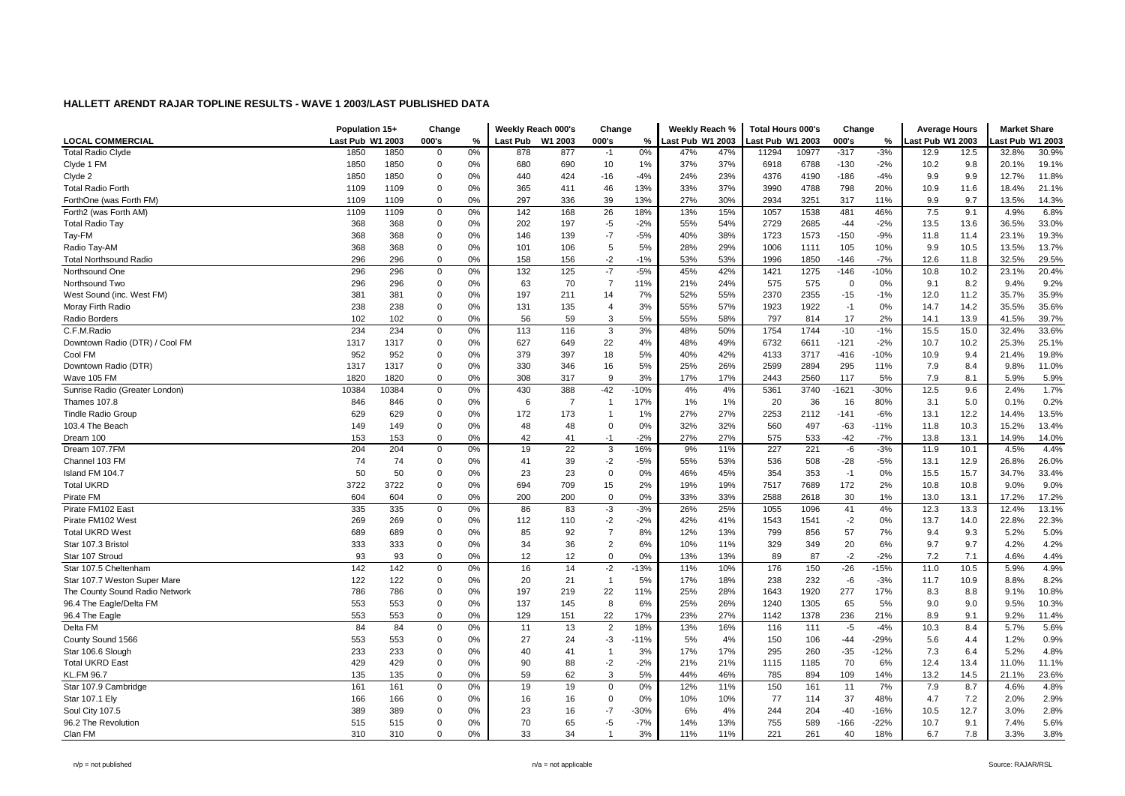|                                | Population 15+   |       | Change         |    | Weekly Reach 000's |                 | Change         |        | Weekly Reach %   |     | <b>Total Hours 000's</b> |       | Change         |        | <b>Average Hours</b> |      | <b>Market Share</b> |       |
|--------------------------------|------------------|-------|----------------|----|--------------------|-----------------|----------------|--------|------------------|-----|--------------------------|-------|----------------|--------|----------------------|------|---------------------|-------|
| <b>LOCAL COMMERCIAL</b>        | Last Pub W1 2003 |       | 000's          | %  | <b>Last Pub</b>    | W1 2003         | 000's          | %      | Last Pub W1 2003 |     | ast Pub W1 2003          |       | 000's          | %      | ast Pub W1 2003      |      | ast Pub W1 2003     |       |
| <b>Total Radio Clyde</b>       | 1850             | 1850  | $\Omega$       | 0% | 878                | 877             | $-1$           | 0%     | 47%              | 47% | 11294                    | 10977 | $-317$         | $-3%$  | 12.9                 | 12.5 | 32.8%               | 30.9% |
| Clyde 1 FM                     | 1850             | 1850  | $\mathbf 0$    | 0% | 680                | 690             | 10             | 1%     | 37%              | 37% | 6918                     | 6788  | $-130$         | $-2%$  | 10.2                 | 9.8  | 20.1%               | 19.1% |
| Clyde 2                        | 1850             | 1850  | $\overline{0}$ | 0% | 440                | 424             | $-16$          | $-4%$  | 24%              | 23% | 4376                     | 4190  | $-186$         | $-4%$  | 9.9                  | 9.9  | 12.7%               | 11.8% |
| <b>Total Radio Forth</b>       | 1109             | 1109  | $\Omega$       | 0% | 365                | 411             | 46             | 13%    | 33%              | 37% | 3990                     | 4788  | 798            | 20%    | 10.9                 | 11.6 | 18.4%               | 21.1% |
| ForthOne (was Forth FM)        | 1109             | 1109  | 0              | 0% | 297                | 336             | 39             | 13%    | 27%              | 30% | 2934                     | 3251  | 317            | 11%    | 9.9                  | 9.7  | 13.5%               | 14.3% |
| Forth2 (was Forth AM)          | 1109             | 1109  | $\mathsf 0$    | 0% | 142                | 168             | 26             | 18%    | 13%              | 15% | 1057                     | 1538  | 481            | 46%    | 7.5                  | 9.1  | 4.9%                | 6.8%  |
| <b>Total Radio Tay</b>         | 368              | 368   | $\mathbf 0$    | 0% | 202                | 197             | $-5$           | $-2%$  | 55%              | 54% | 2729                     | 2685  | $-44$          | $-2%$  | 13.5                 | 13.6 | 36.5%               | 33.0% |
| Tay-FM                         | 368              | 368   | $\overline{0}$ | 0% | 146                | 139             | $-7$           | $-5%$  | 40%              | 38% | 1723                     | 1573  | $-150$         | $-9%$  | 11.8                 | 11.4 | 23.1%               | 19.3% |
| Radio Tay-AM                   | 368              | 368   | $\mathbf 0$    | 0% | 101                | 106             | 5              | 5%     | 28%              | 29% | 1006                     | 1111  | 105            | 10%    | 9.9                  | 10.5 | 13.5%               | 13.7% |
| <b>Total Northsound Radio</b>  | 296              | 296   | $\mathbf 0$    | 0% | 158                | 156             | $-2$           | $-1%$  | 53%              | 53% | 1996                     | 1850  | $-146$         | $-7%$  | 12.6                 | 11.8 | 32.5%               | 29.5% |
| Northsound One                 | 296              | 296   | $\mathbf 0$    | 0% | 132                | 125             | $-7$           | $-5%$  | 45%              | 42% | 1421                     | 1275  | $-146$         | $-10%$ | 10.8                 | 10.2 | 23.1%               | 20.4% |
| Northsound Two                 | 296              | 296   | $\mathbf 0$    | 0% | 63                 | 70              | $\overline{7}$ | 11%    | 21%              | 24% | 575                      | 575   | $\overline{0}$ | 0%     | 9.1                  | 8.2  | 9.4%                | 9.2%  |
| West Sound (inc. West FM)      | 381              | 381   | $\mathbf 0$    | 0% | 197                | 211             | 14             | 7%     | 52%              | 55% | 2370                     | 2355  | $-15$          | $-1%$  | 12.0                 | 11.2 | 35.7%               | 35.9% |
| Moray Firth Radio              | 238              | 238   | 0              | 0% | 131                | 135             | $\overline{4}$ | 3%     | 55%              | 57% | 1923                     | 1922  | $-1$           | 0%     | 14.7                 | 14.2 | 35.5%               | 35.6% |
| Radio Borders                  | 102              | 102   | $\mathbf 0$    | 0% | 56                 | 59              | 3              | 5%     | 55%              | 58% | 797                      | 814   | 17             | 2%     | 14.1                 | 13.9 | 41.5%               | 39.7% |
| C.F.M.Radio                    | 234              | 234   | $\mathbf 0$    | 0% | 113                | 116             | 3              | 3%     | 48%              | 50% | 1754                     | 1744  | $-10$          | $-1%$  | 15.5                 | 15.0 | 32.4%               | 33.6% |
| Downtown Radio (DTR) / Cool FM | 1317             | 1317  | 0              | 0% | 627                | 649             | 22             | 4%     | 48%              | 49% | 6732                     | 6611  | $-121$         | $-2%$  | 10.7                 | 10.2 | 25.3%               | 25.1% |
| Cool FM                        | 952              | 952   | 0              | 0% | 379                | 397             | 18             | 5%     | 40%              | 42% | 4133                     | 3717  | $-416$         | $-10%$ | 10.9                 | 9.4  | 21.4%               | 19.8% |
| Downtown Radio (DTR)           | 1317             | 1317  | $\overline{0}$ | 0% | 330                | 346             | 16             | 5%     | 25%              | 26% | 2599                     | 2894  | 295            | 11%    | 7.9                  | 8.4  | 9.8%                | 11.0% |
| Wave 105 FM                    | 1820             | 1820  | $\mathbf 0$    | 0% | 308                | 317             | 9              | 3%     | 17%              | 17% | 2443                     | 2560  | 117            | 5%     | 7.9                  | 8.1  | 5.9%                | 5.9%  |
| Sunrise Radio (Greater London) | 10384            | 10384 | $\mathsf 0$    | 0% | 430                | 388             | $-42$          | $-10%$ | 4%               | 4%  | 5361                     | 3740  | $-1621$        | $-30%$ | 12.5                 | 9.6  | 2.4%                | 1.7%  |
| Thames 107.8                   | 846              | 846   | $\mathbf 0$    | 0% | 6                  | 7               | $\overline{1}$ | 17%    | 1%               | 1%  | 20                       | 36    | 16             | 80%    | 3.1                  | 5.0  | 0.1%                | 0.2%  |
| <b>Tindle Radio Group</b>      | 629              | 629   | $\Omega$       | 0% | 172                | 173             |                | 1%     | 27%              | 27% | 2253                     | 2112  | $-141$         | $-6%$  | 13.1                 | 12.2 | 14.4%               | 13.5% |
| 103.4 The Beach                | 149              | 149   | $\overline{0}$ | 0% | 48                 | 48              | $\Omega$       | 0%     | 32%              | 32% | 560                      | 497   | $-63$          | $-11%$ | 11.8                 | 10.3 | 15.2%               | 13.4% |
| Dream 100                      | 153              | 153   | $\mathbf 0$    | 0% | 42                 | 41              | $-1$           | $-2%$  | 27%              | 27% | 575                      | 533   | $-42$          | $-7%$  | 13.8                 | 13.1 | 14.9%               | 14.0% |
| Dream 107.7FM                  | 204              | 204   | 0              | 0% | 19                 | 22              | 3              | 16%    | 9%               | 11% | 227                      | 221   | -6             | $-3%$  | 11.9                 | 10.1 | 4.5%                | 4.4%  |
| Channel 103 FM                 | 74               | 74    | $\mathbf 0$    | 0% | 41                 | 39              | $-2$           | $-5%$  | 55%              | 53% | 536                      | 508   | $-28$          | $-5%$  | 13.1                 | 12.9 | 26.8%               | 26.0% |
| Island FM 104.7                | 50               | 50    | $\overline{0}$ | 0% | 23                 | 23              | $\Omega$       | 0%     | 46%              | 45% | 354                      | 353   | $-1$           | 0%     | 15.5                 | 15.7 | 34.7%               | 33.4% |
| <b>Total UKRD</b>              | 3722             | 3722  | 0              | 0% | 694                | 709             | 15             | 2%     | 19%              | 19% | 7517                     | 7689  | 172            | 2%     | 10.8                 | 10.8 | 9.0%                | 9.0%  |
| Pirate FM                      | 604              | 604   | 0              | 0% | 200                | 200             | $\Omega$       | 0%     | 33%              | 33% | 2588                     | 2618  | 30             | 1%     | 13.0                 | 13.1 | 17.2%               | 17.2% |
| Pirate FM102 East              | 335              | 335   | $\mathbf 0$    | 0% | 86                 | 83              | $-3$           | $-3%$  | 26%              | 25% | 1055                     | 1096  | 41             | 4%     | 12.3                 | 13.3 | 12.4%               | 13.1% |
| Pirate FM102 West              | 269              | 269   | $\mathbf 0$    | 0% | 112                | 110             | $-2$           | $-2%$  | 42%              | 41% | 1543                     | 1541  | $-2$           | 0%     | 13.7                 | 14.0 | 22.8%               | 22.3% |
| <b>Total UKRD West</b>         | 689              | 689   | $\mathbf 0$    | 0% | 85                 | 92              | $\overline{7}$ | 8%     | 12%              | 13% | 799                      | 856   | 57             | 7%     | 9.4                  | 9.3  | 5.2%                | 5.0%  |
| Star 107.3 Bristol             | 333              | 333   | $\mathbf 0$    | 0% | 34                 | 36              | $\overline{2}$ | 6%     | 10%              | 11% | 329                      | 349   | 20             | 6%     | 9.7                  | 9.7  | 4.2%                | 4.2%  |
| Star 107 Stroud                | 93               | 93    | $\mathbf 0$    | 0% | 12                 | 12 <sup>2</sup> | $\mathbf 0$    | 0%     | 13%              | 13% | 89                       | 87    | $-2$           | $-2%$  | 7.2                  | 7.1  | 4.6%                | 4.4%  |
| Star 107.5 Cheltenham          | 142              | 142   | $\mathbf 0$    | 0% | 16                 | 14              | $-2$           | $-13%$ | 11%              | 10% | 176                      | 150   | $-26$          | $-15%$ | 11.0                 | 10.5 | 5.9%                | 4.9%  |
| Star 107.7 Weston Super Mare   | 122              | 122   | $\mathbf 0$    | 0% | 20                 | 21              | $\mathbf{1}$   | 5%     | 17%              | 18% | 238                      | 232   | -6             | $-3%$  | 11.7                 | 10.9 | 8.8%                | 8.2%  |
| The County Sound Radio Network | 786              | 786   | 0              | 0% | 197                | 219             | 22             | 11%    | 25%              | 28% | 1643                     | 1920  | 277            | 17%    | 8.3                  | 8.8  | 9.1%                | 10.8% |
| 96.4 The Eagle/Delta FM        | 553              | 553   | $\mathbf 0$    | 0% | 137                | 145             | 8              | 6%     | 25%              | 26% | 1240                     | 1305  | 65             | 5%     | 9.0                  | 9.0  | 9.5%                | 10.3% |
| 96.4 The Eagle                 | 553              | 553   | $\mathbf 0$    | 0% | 129                | 151             | 22             | 17%    | 23%              | 27% | 1142                     | 1378  | 236            | 21%    | 8.9                  | 9.1  | 9.2%                | 11.4% |
| Delta FM                       | 84               | 84    | 0              | 0% | 11                 | 13              | 2              | 18%    | 13%              | 16% | 116                      | 111   | $-5$           | $-4%$  | 10.3                 | 8.4  | 5.7%                | 5.6%  |
| County Sound 1566              | 553              | 553   | 0              | 0% | 27                 | 24              | $-3$           | $-11%$ | 5%               | 4%  | 150                      | 106   | $-44$          | $-29%$ | 5.6                  | 4.4  | 1.2%                | 0.9%  |
| Star 106.6 Slough              | 233              | 233   | $\overline{0}$ | 0% | 40                 | 41              | $\overline{1}$ | 3%     | 17%              | 17% | 295                      | 260   | $-35$          | $-12%$ | 7.3                  | 6.4  | 5.2%                | 4.8%  |
| <b>Total UKRD East</b>         | 429              | 429   | $\Omega$       | 0% | 90                 | 88              | $-2$           | $-2%$  | 21%              | 21% | 1115                     | 1185  | 70             | 6%     | 12.4                 | 13.4 | 11.0%               | 11.1% |
| <b>KL.FM 96.7</b>              | 135              | 135   | 0              | 0% | 59                 | 62              | 3              | 5%     | 44%              | 46% | 785                      | 894   | 109            | 14%    | 13.2                 | 14.5 | 21.1%               | 23.6% |
| Star 107.9 Cambridge           | 161              | 161   | $\mathsf 0$    | 0% | 19                 | 19              | $\mathsf 0$    | 0%     | 12%              | 11% | 150                      | 161   | 11             | 7%     | 7.9                  | 8.7  | 4.6%                | 4.8%  |
| Star 107.1 Ely                 | 166              | 166   | $\mathbf 0$    | 0% | 16                 | 16              | $\mathbf 0$    | 0%     | 10%              | 10% | 77                       | 114   | 37             | 48%    | 4.7                  | 7.2  | 2.0%                | 2.9%  |
| Soul City 107.5                | 389              | 389   | $\Omega$       | 0% | 23                 | 16              | $-7$           | $-30%$ | 6%               | 4%  | 244                      | 204   | -40            | $-16%$ | 10.5                 | 12.7 | 3.0%                | 2.8%  |
| 96.2 The Revolution            | 515              | 515   | $\overline{0}$ | 0% | 70                 | 65              | $-5$           | $-7%$  | 14%              | 13% | 755                      | 589   | $-166$         | $-22%$ | 10.7                 | 9.1  | 7.4%                | 5.6%  |
| Clan FM                        | 310              | 310   | $\Omega$       | 0% | 33                 | 34              | $\overline{1}$ | 3%     | 11%              | 11% | 221                      | 261   | 40             | 18%    | 6.7                  | 7.8  | 3.3%                | 3.8%  |